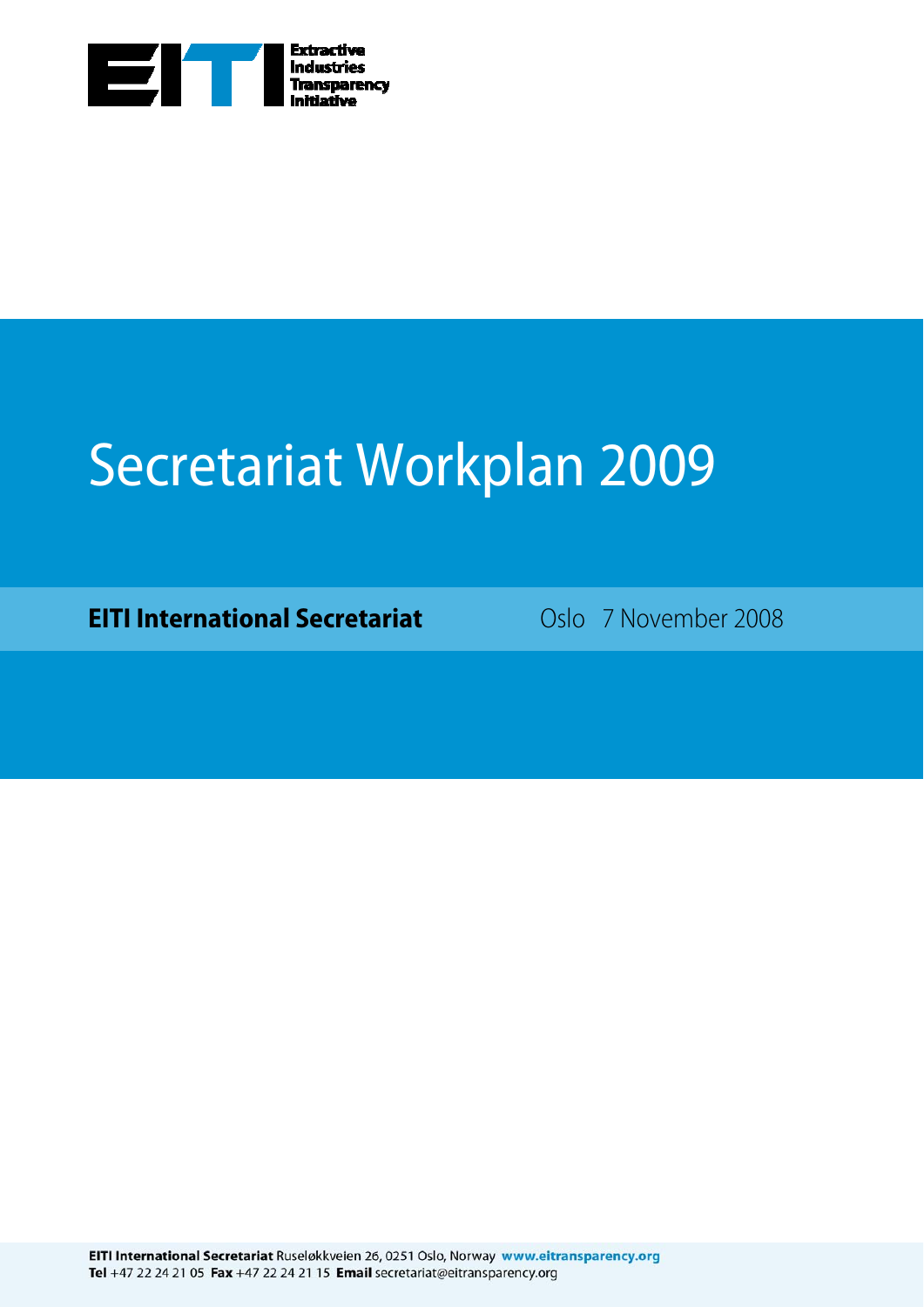

## Secretariat Workplan 2009

**EITI International Secretariat** Coslo 7 November 2008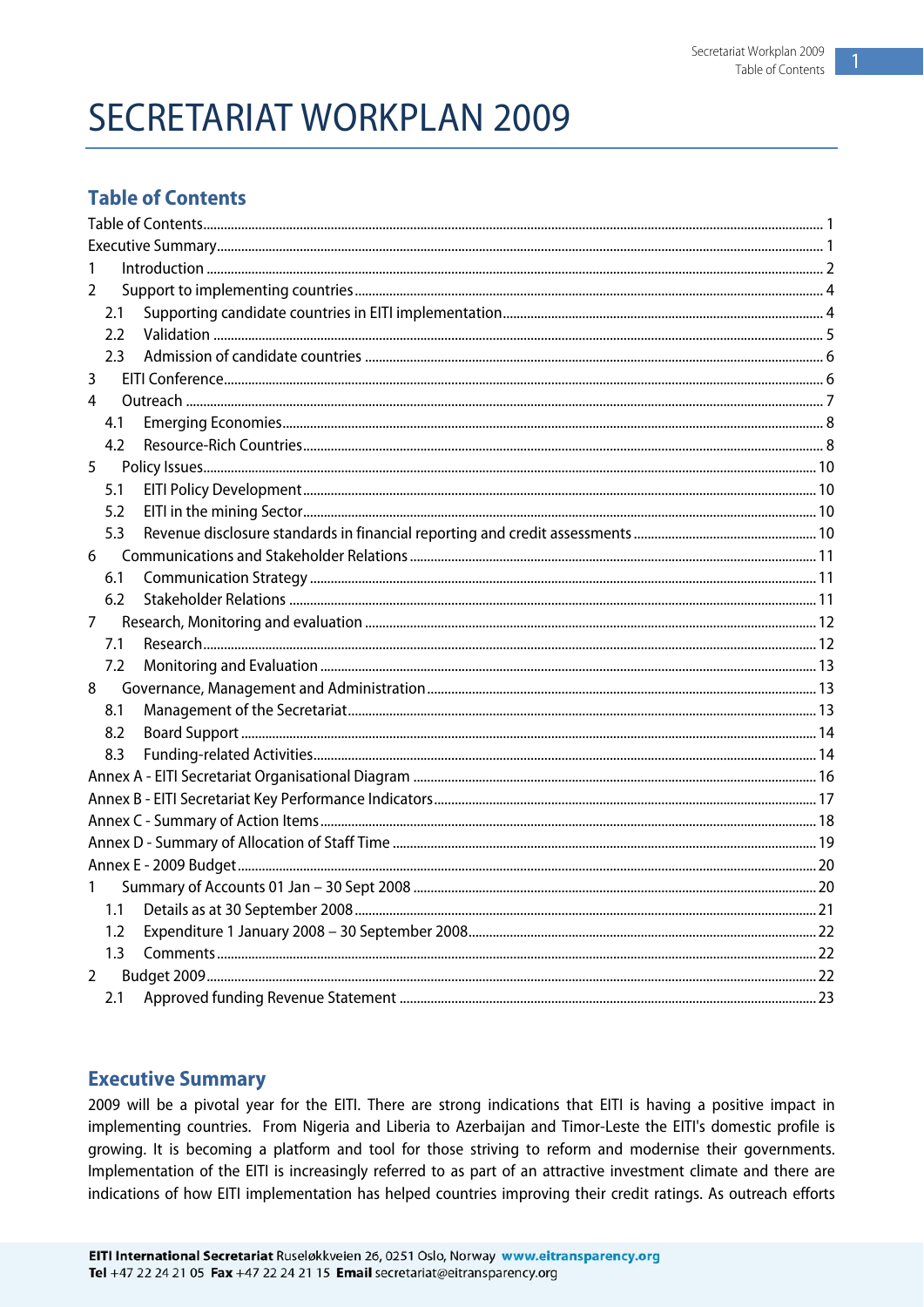1

## <span id="page-1-0"></span>**SECRETARIAT WORKPLAN 2009**

### **Table of Contents**

| 1              |  |
|----------------|--|
| $\mathcal{P}$  |  |
| 2.1            |  |
| 2.2            |  |
| 2.3            |  |
| 3              |  |
| 4              |  |
| 4.1            |  |
| 4.2            |  |
| 5              |  |
| 5.1            |  |
| 5.2            |  |
| 5.3            |  |
| 6              |  |
| 6.1            |  |
| 6.2            |  |
| 7              |  |
| 7.1            |  |
| 7.2            |  |
| 8              |  |
| 8.1            |  |
| 8.2            |  |
| 8.3            |  |
|                |  |
|                |  |
|                |  |
|                |  |
|                |  |
| 1              |  |
| 1.1            |  |
| 1.2            |  |
| 1.3            |  |
| $\overline{2}$ |  |
| 2.1            |  |

#### **Executive Summary**

2009 will be a pivotal year for the EITI. There are strong indications that EITI is having a positive impact in implementing countries. From Nigeria and Liberia to Azerbaijan and Timor-Leste the EITI's domestic profile is growing. It is becoming a platform and tool for those striving to reform and modernise their governments. Implementation of the EITI is increasingly referred to as part of an attractive investment climate and there are indications of how EITI implementation has helped countries improving their credit ratings. As outreach efforts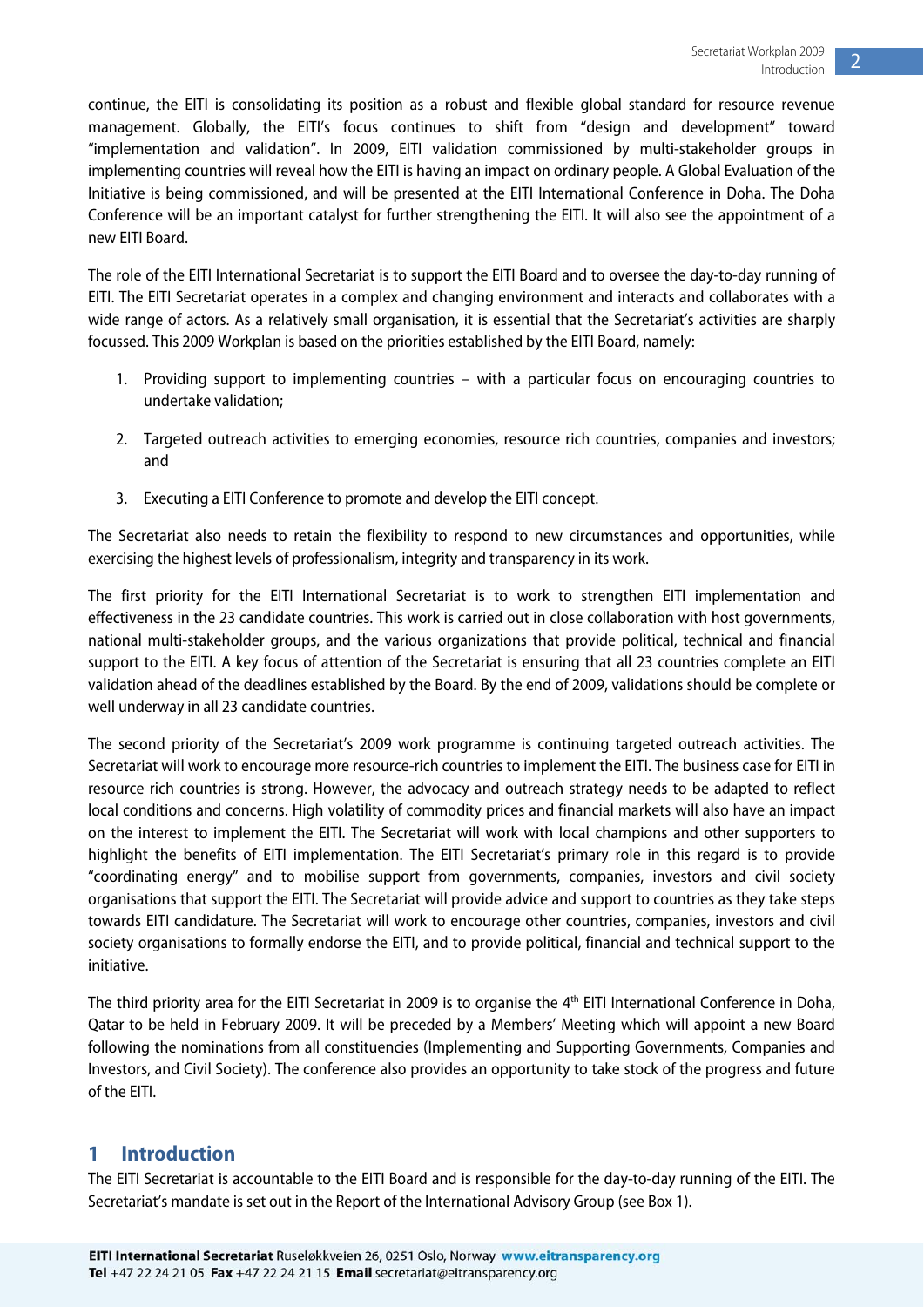<span id="page-2-0"></span>continue, the EITI is consolidating its position as a robust and flexible global standard for resource revenue management. Globally, the EITI's focus continues to shift from "design and development" toward "implementation and validation". In 2009, EITI validation commissioned by multi-stakeholder groups in implementing countries will reveal how the EITI is having an impact on ordinary people. A Global Evaluation of the Initiative is being commissioned, and will be presented at the EITI International Conference in Doha. The Doha Conference will be an important catalyst for further strengthening the EITI. It will also see the appointment of a new EITI Board.

The role of the EITI International Secretariat is to support the EITI Board and to oversee the day-to-day running of EITI. The EITI Secretariat operates in a complex and changing environment and interacts and collaborates with a wide range of actors. As a relatively small organisation, it is essential that the Secretariat's activities are sharply focussed. This 2009 Workplan is based on the priorities established by the EITI Board, namely:

- 1. Providing support to implementing countries with a particular focus on encouraging countries to undertake validation;
- 2. Targeted outreach activities to emerging economies, resource rich countries, companies and investors; and
- 3. Executing a EITI Conference to promote and develop the EITI concept.

The Secretariat also needs to retain the flexibility to respond to new circumstances and opportunities, while exercising the highest levels of professionalism, integrity and transparency in its work.

The first priority for the EITI International Secretariat is to work to strengthen EITI implementation and effectiveness in the 23 candidate countries. This work is carried out in close collaboration with host governments, national multi-stakeholder groups, and the various organizations that provide political, technical and financial support to the EITI. A key focus of attention of the Secretariat is ensuring that all 23 countries complete an EITI validation ahead of the deadlines established by the Board. By the end of 2009, validations should be complete or well underway in all 23 candidate countries.

The second priority of the Secretariat's 2009 work programme is continuing targeted outreach activities. The Secretariat will work to encourage more resource-rich countries to implement the EITI. The business case for EITI in resource rich countries is strong. However, the advocacy and outreach strategy needs to be adapted to reflect local conditions and concerns. High volatility of commodity prices and financial markets will also have an impact on the interest to implement the EITI. The Secretariat will work with local champions and other supporters to highlight the benefits of EITI implementation. The EITI Secretariat's primary role in this regard is to provide "coordinating energy" and to mobilise support from governments, companies, investors and civil society organisations that support the EITI. The Secretariat will provide advice and support to countries as they take steps towards EITI candidature. The Secretariat will work to encourage other countries, companies, investors and civil society organisations to formally endorse the EITI, and to provide political, financial and technical support to the initiative.

The third priority area for the EITI Secretariat in 2009 is to organise the 4<sup>th</sup> EITI International Conference in Doha, Qatar to be held in February 2009. It will be preceded by a Members' Meeting which will appoint a new Board following the nominations from all constituencies (Implementing and Supporting Governments, Companies and Investors, and Civil Society). The conference also provides an opportunity to take stock of the progress and future of the EITI.

#### **1 Introduction**

The EITI Secretariat is accountable to the EITI Board and is responsible for the day-to-day running of the EITI. The Secretariat's mandate is set out in the Report of the International Advisory Group (see Box 1).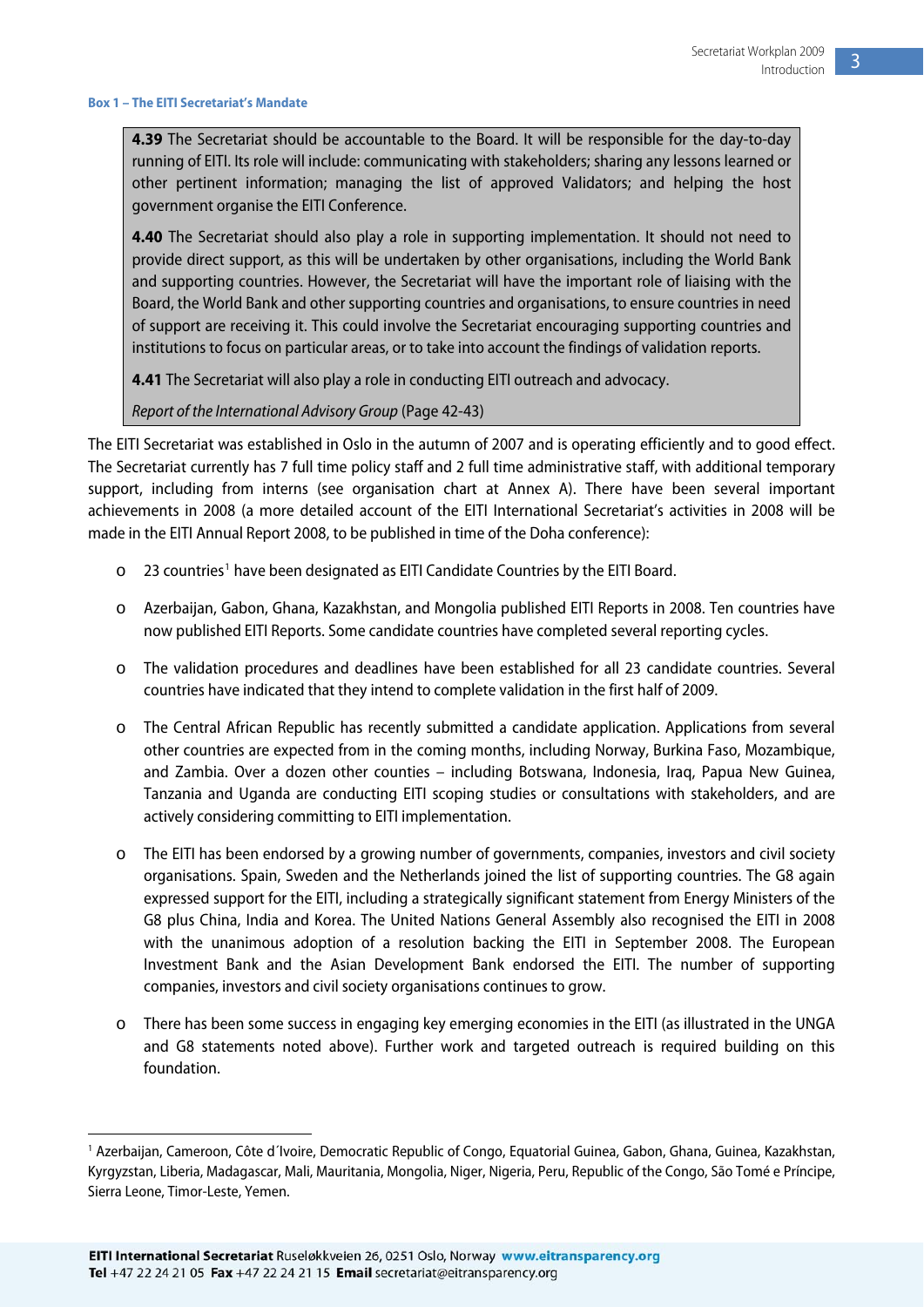#### <span id="page-3-0"></span>**Box 1 – The EITI Secretariat's Mandate**

**4.39** The Secretariat should be accountable to the Board. It will be responsible for the day-to-day running of EITI. Its role will include: communicating with stakeholders; sharing any lessons learned or other pertinent information; managing the list of approved Validators; and helping the host government organise the EITI Conference.

**4.40** The Secretariat should also play a role in supporting implementation. It should not need to provide direct support, as this will be undertaken by other organisations, including the World Bank and supporting countries. However, the Secretariat will have the important role of liaising with the Board, the World Bank and other supporting countries and organisations, to ensure countries in need of support are receiving it. This could involve the Secretariat encouraging supporting countries and institutions to focus on particular areas, or to take into account the findings of validation reports.

**4.41** The Secretariat will also play a role in conducting EITI outreach and advocacy.

Report of the International Advisory Group (Page 42-43)

The EITI Secretariat was established in Oslo in the autumn of 2007 and is operating efficiently and to good effect. The Secretariat currently has 7 full time policy staff and 2 full time administrative staff, with additional temporary support, including from interns (see organisation chart at Annex A). There have been several important achievements in 2008 (a more detailed account of the EITI International Secretariat's activities in 2008 will be made in the EITI Annual Report 2008, to be published in time of the Doha conference):

- $\circ$  23 countries<sup>[1](#page-3-0)</sup> have been designated as EITI Candidate Countries by the EITI Board.
- o Azerbaijan, Gabon, Ghana, Kazakhstan, and Mongolia published EITI Reports in 2008. Ten countries have now published EITI Reports. Some candidate countries have completed several reporting cycles.
- o The validation procedures and deadlines have been established for all 23 candidate countries. Several countries have indicated that they intend to complete validation in the first half of 2009.
- o The Central African Republic has recently submitted a candidate application. Applications from several other countries are expected from in the coming months, including Norway, Burkina Faso, Mozambique, and Zambia. Over a dozen other counties – including Botswana, Indonesia, Iraq, Papua New Guinea, Tanzania and Uganda are conducting EITI scoping studies or consultations with stakeholders, and are actively considering committing to EITI implementation.
- o The EITI has been endorsed by a growing number of governments, companies, investors and civil society organisations. Spain, Sweden and the Netherlands joined the list of supporting countries. The G8 again expressed support for the EITI, including a strategically significant statement from Energy Ministers of the G8 plus China, India and Korea. The United Nations General Assembly also recognised the EITI in 2008 with the unanimous adoption of a resolution backing the EITI in September 2008. The European Investment Bank and the Asian Development Bank endorsed the EITI. The number of supporting companies, investors and civil society organisations continues to grow.
- o There has been some success in engaging key emerging economies in the EITI (as illustrated in the UNGA and G8 statements noted above). Further work and targeted outreach is required building on this foundation.

**.** 

<sup>&</sup>lt;sup>1</sup> Azerbaijan, Cameroon, Côte d'Ivoire, Democratic Republic of Congo, Equatorial Guinea, Gabon, Ghana, Guinea, Kazakhstan, Kyrgyzstan, Liberia, Madagascar, Mali, Mauritania, Mongolia, Niger, Nigeria, Peru, Republic of the Congo, São Tomé e Príncipe, Sierra Leone, Timor-Leste, Yemen.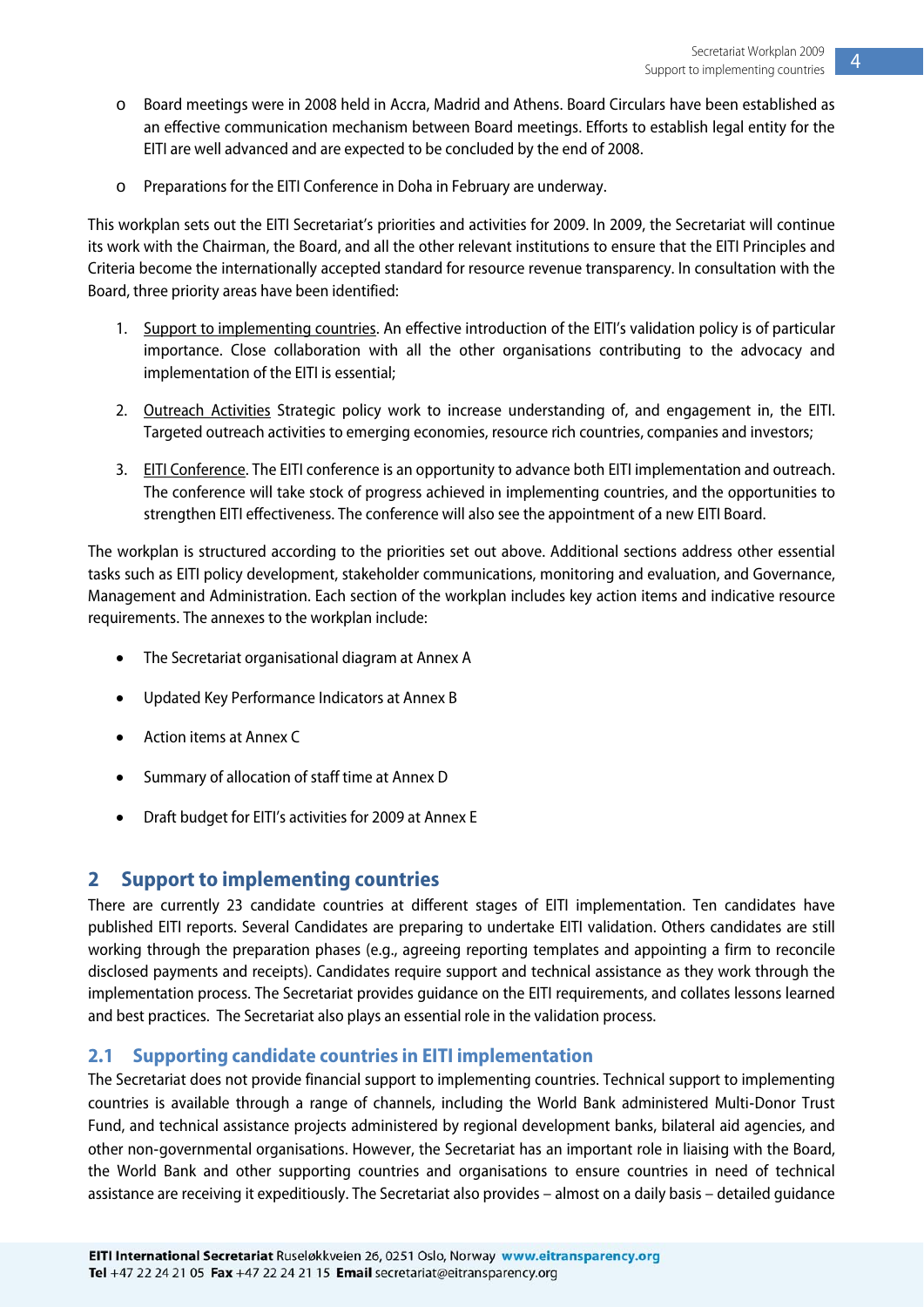- <span id="page-4-0"></span>o Board meetings were in 2008 held in Accra, Madrid and Athens. Board Circulars have been established as an effective communication mechanism between Board meetings. Efforts to establish legal entity for the EITI are well advanced and are expected to be concluded by the end of 2008.
- o Preparations for the EITI Conference in Doha in February are underway.

This workplan sets out the EITI Secretariat's priorities and activities for 2009. In 2009, the Secretariat will continue its work with the Chairman, the Board, and all the other relevant institutions to ensure that the EITI Principles and Criteria become the internationally accepted standard for resource revenue transparency. In consultation with the Board, three priority areas have been identified:

- 1. Support to implementing countries. An effective introduction of the EITI's validation policy is of particular importance. Close collaboration with all the other organisations contributing to the advocacy and implementation of the EITI is essential;
- 2. Outreach Activities Strategic policy work to increase understanding of, and engagement in, the EITI. Targeted outreach activities to emerging economies, resource rich countries, companies and investors;
- 3. EITI Conference. The EITI conference is an opportunity to advance both EITI implementation and outreach. The conference will take stock of progress achieved in implementing countries, and the opportunities to strengthen EITI effectiveness. The conference will also see the appointment of a new EITI Board.

The workplan is structured according to the priorities set out above. Additional sections address other essential tasks such as EITI policy development, stakeholder communications, monitoring and evaluation, and Governance, Management and Administration. Each section of the workplan includes key action items and indicative resource requirements. The annexes to the workplan include:

- The Secretariat organisational diagram at Annex A
- Updated Key Performance Indicators at Annex B
- Action items at Annex C
- Summary of allocation of staff time at Annex D
- Draft budget for EITI's activities for 2009 at Annex E

#### **2 Support to implementing countries**

There are currently 23 candidate countries at different stages of EITI implementation. Ten candidates have published EITI reports. Several Candidates are preparing to undertake EITI validation. Others candidates are still working through the preparation phases (e.g., agreeing reporting templates and appointing a firm to reconcile disclosed payments and receipts). Candidates require support and technical assistance as they work through the implementation process. The Secretariat provides guidance on the EITI requirements, and collates lessons learned and best practices. The Secretariat also plays an essential role in the validation process.

#### **2.1 Supporting candidate countries in EITI implementation**

The Secretariat does not provide financial support to implementing countries. Technical support to implementing countries is available through a range of channels, including the World Bank administered Multi‐Donor Trust Fund, and technical assistance projects administered by regional development banks, bilateral aid agencies, and other non‐governmental organisations. However, the Secretariat has an important role in liaising with the Board, the World Bank and other supporting countries and organisations to ensure countries in need of technical assistance are receiving it expeditiously. The Secretariat also provides – almost on a daily basis – detailed guidance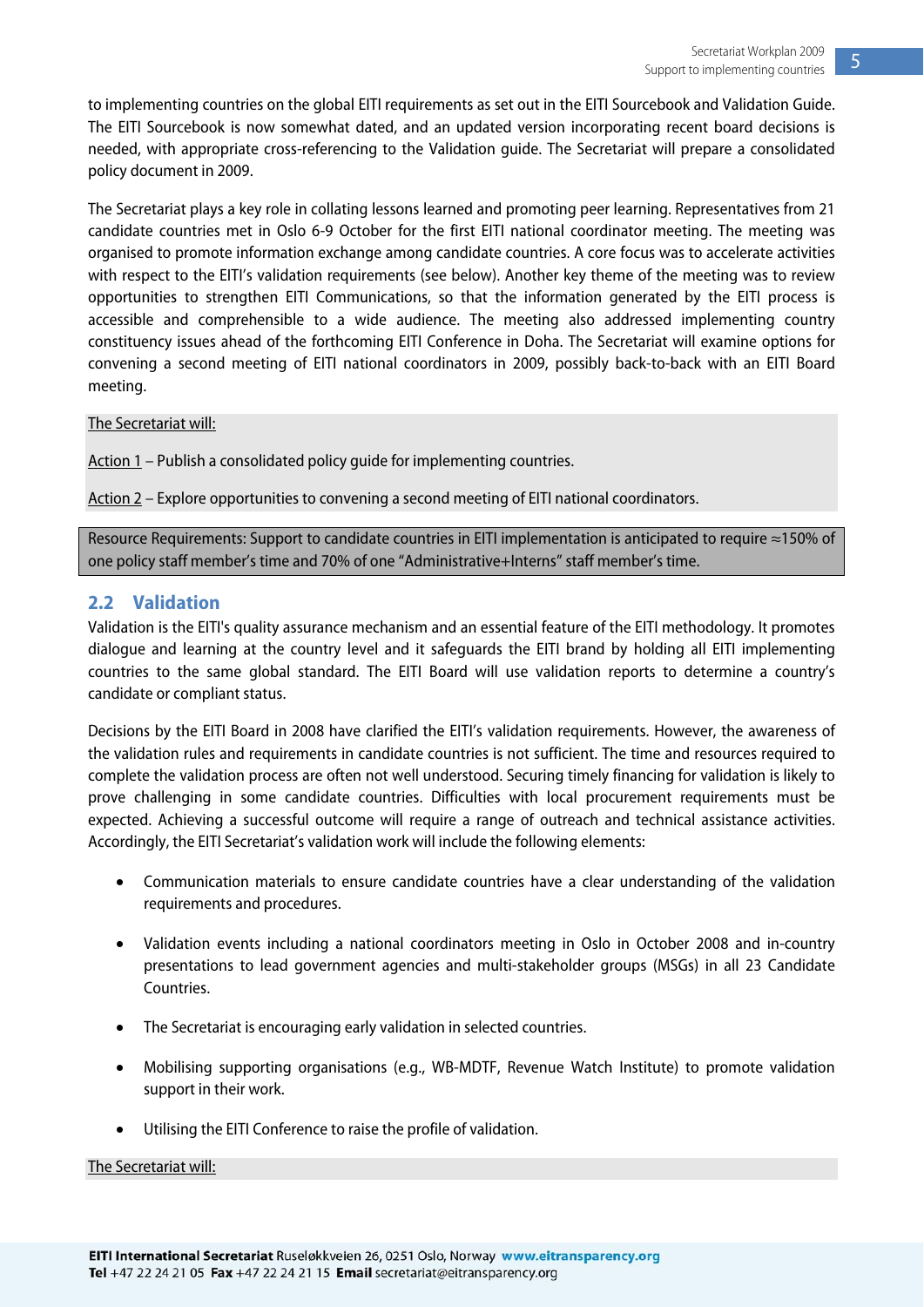<span id="page-5-0"></span>to implementing countries on the global EITI requirements as set out in the EITI Sourcebook and Validation Guide. The EITI Sourcebook is now somewhat dated, and an updated version incorporating recent board decisions is needed, with appropriate cross-referencing to the Validation guide. The Secretariat will prepare a consolidated policy document in 2009.

The Secretariat plays a key role in collating lessons learned and promoting peer learning. Representatives from 21 candidate countries met in Oslo 6-9 October for the first EITI national coordinator meeting. The meeting was organised to promote information exchange among candidate countries. A core focus was to accelerate activities with respect to the EITI's validation requirements (see below). Another key theme of the meeting was to review opportunities to strengthen EITI Communications, so that the information generated by the EITI process is accessible and comprehensible to a wide audience. The meeting also addressed implementing country constituency issues ahead of the forthcoming EITI Conference in Doha. The Secretariat will examine options for convening a second meeting of EITI national coordinators in 2009, possibly back-to-back with an EITI Board meeting.

#### The Secretariat will:

Action 1 – Publish a consolidated policy guide for implementing countries.

Action 2 – Explore opportunities to convening a second meeting of EITI national coordinators.

Resource Requirements: Support to candidate countries in EITI implementation is anticipated to require ≈150% of one policy staff member's time and 70% of one "Administrative+Interns" staff member's time.

#### **2.2 Validation**

Validation is the EITI's quality assurance mechanism and an essential feature of the EITI methodology. It promotes dialogue and learning at the country level and it safeguards the EITI brand by holding all EITI implementing countries to the same global standard. The EITI Board will use validation reports to determine a country's candidate or compliant status.

Decisions by the EITI Board in 2008 have clarified the EITI's validation requirements. However, the awareness of the validation rules and requirements in candidate countries is not sufficient. The time and resources required to complete the validation process are often not well understood. Securing timely financing for validation is likely to prove challenging in some candidate countries. Difficulties with local procurement requirements must be expected. Achieving a successful outcome will require a range of outreach and technical assistance activities. Accordingly, the EITI Secretariat's validation work will include the following elements:

- Communication materials to ensure candidate countries have a clear understanding of the validation requirements and procedures.
- Validation events including a national coordinators meeting in Oslo in October 2008 and in-country presentations to lead government agencies and multi-stakeholder groups (MSGs) in all 23 Candidate Countries.
- The Secretariat is encouraging early validation in selected countries.
- Mobilising supporting organisations (e.g., WB-MDTF, Revenue Watch Institute) to promote validation support in their work.
- Utilising the EITI Conference to raise the profile of validation.

#### The Secretariat will: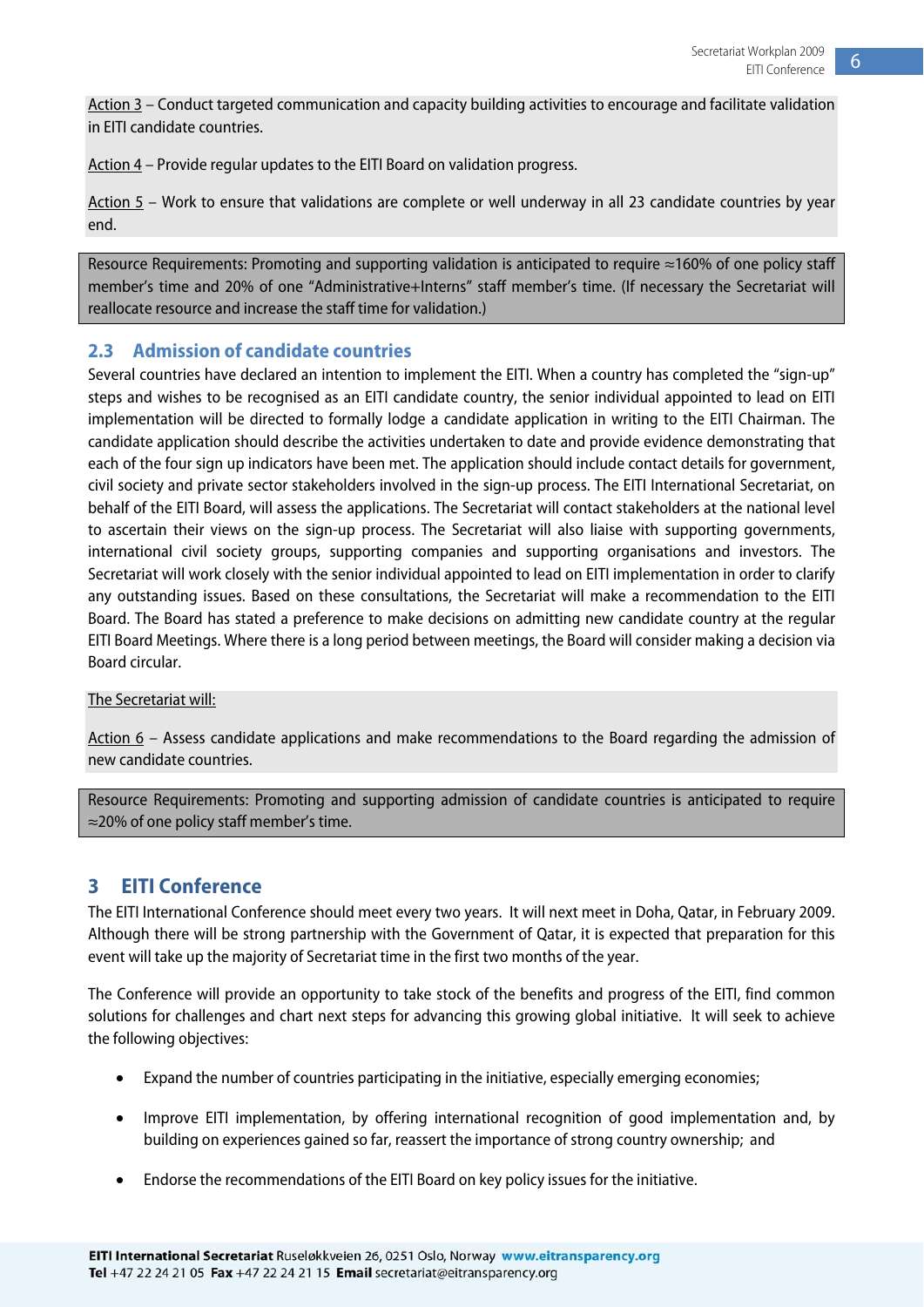<span id="page-6-0"></span>Action 3 – Conduct targeted communication and capacity building activities to encourage and facilitate validation in EITI candidate countries.

Action 4 – Provide regular updates to the EITI Board on validation progress.

Action 5 – Work to ensure that validations are complete or well underway in all 23 candidate countries by year end.

Resource Requirements: Promoting and supporting validation is anticipated to require ≈160% of one policy staff member's time and 20% of one "Administrative+Interns" staff member's time. (If necessary the Secretariat will reallocate resource and increase the staff time for validation.)

#### **2.3 Admission of candidate countries**

Several countries have declared an intention to implement the EITI. When a country has completed the "sign-up" steps and wishes to be recognised as an EITI candidate country, the senior individual appointed to lead on EITI implementation will be directed to formally lodge a candidate application in writing to the EITI Chairman. The candidate application should describe the activities undertaken to date and provide evidence demonstrating that each of the four sign up indicators have been met. The application should include contact details for government, civil society and private sector stakeholders involved in the sign-up process. The EITI International Secretariat, on behalf of the EITI Board, will assess the applications. The Secretariat will contact stakeholders at the national level to ascertain their views on the sign-up process. The Secretariat will also liaise with supporting governments, international civil society groups, supporting companies and supporting organisations and investors. The Secretariat will work closely with the senior individual appointed to lead on EITI implementation in order to clarify any outstanding issues. Based on these consultations, the Secretariat will make a recommendation to the EITI Board. The Board has stated a preference to make decisions on admitting new candidate country at the regular EITI Board Meetings. Where there is a long period between meetings, the Board will consider making a decision via Board circular.

#### The Secretariat will:

Action 6 – Assess candidate applications and make recommendations to the Board regarding the admission of new candidate countries.

Resource Requirements: Promoting and supporting admission of candidate countries is anticipated to require ≈20% of one policy staff member's time.

#### **3 EITI Conference**

The EITI International Conference should meet every two years. It will next meet in Doha, Qatar, in February 2009. Although there will be strong partnership with the Government of Qatar, it is expected that preparation for this event will take up the majority of Secretariat time in the first two months of the year.

The Conference will provide an opportunity to take stock of the benefits and progress of the EITI, find common solutions for challenges and chart next steps for advancing this growing global initiative. It will seek to achieve the following objectives:

- Expand the number of countries participating in the initiative, especially emerging economies;
- Improve EITI implementation, by offering international recognition of good implementation and, by building on experiences gained so far, reassert the importance of strong country ownership; and
- Endorse the recommendations of the EITI Board on key policy issues for the initiative.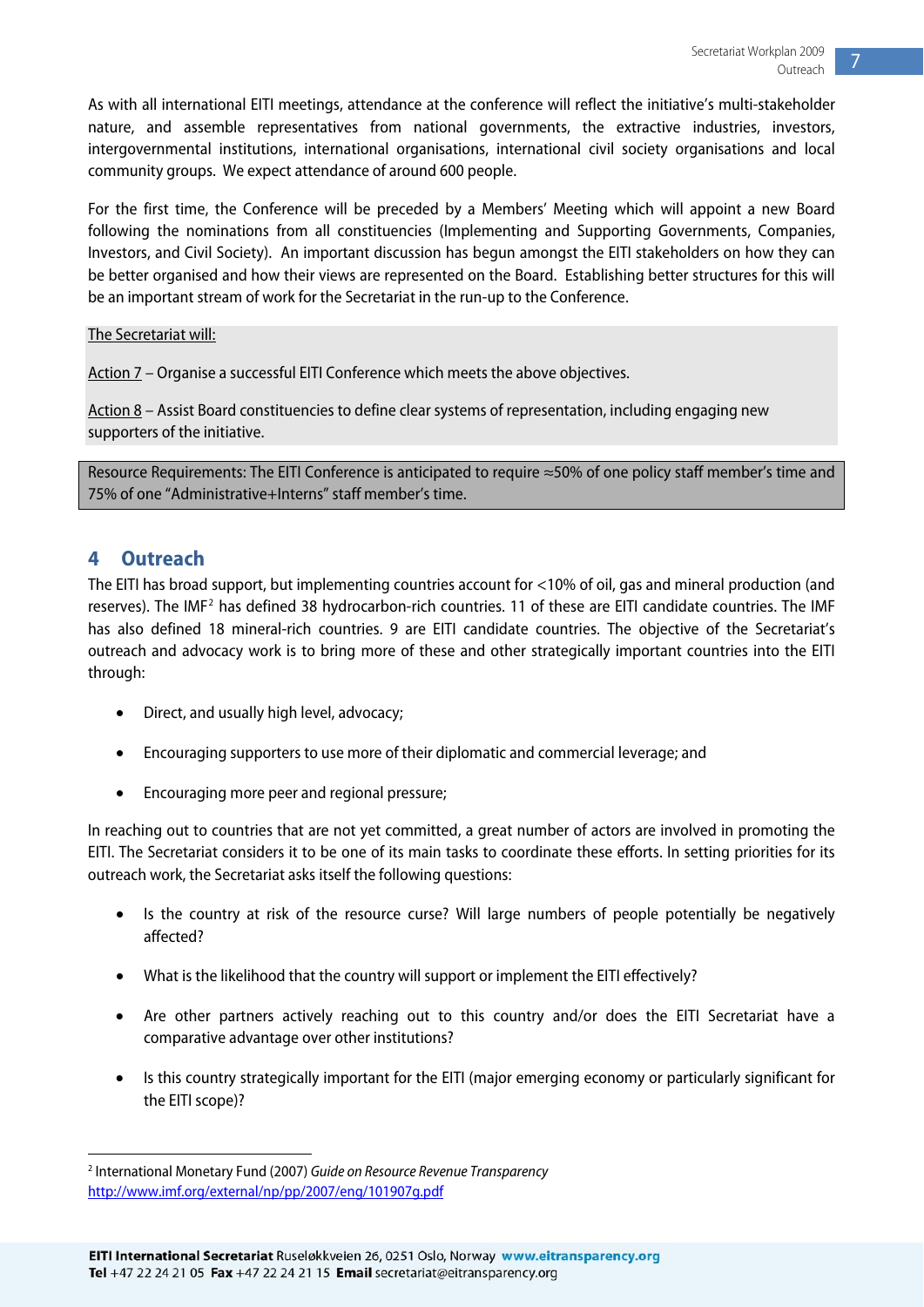<span id="page-7-0"></span>As with all international EITI meetings, attendance at the conference will reflect the initiative's multi-stakeholder nature, and assemble representatives from national governments, the extractive industries, investors, intergovernmental institutions, international organisations, international civil society organisations and local community groups. We expect attendance of around 600 people.

For the first time, the Conference will be preceded by a Members' Meeting which will appoint a new Board following the nominations from all constituencies (Implementing and Supporting Governments, Companies, Investors, and Civil Society). An important discussion has begun amongst the EITI stakeholders on how they can be better organised and how their views are represented on the Board. Establishing better structures for this will be an important stream of work for the Secretariat in the run-up to the Conference.

The Secretariat will:

Action 7 – Organise a successful EITI Conference which meets the above objectives.

Action 8 – Assist Board constituencies to define clear systems of representation, including engaging new supporters of the initiative.

Resource Requirements: The EITI Conference is anticipated to require ≈50% of one policy staff member's time and 75% of one "Administrative+Interns" staff member's time.

#### **4 Outreach**

The EITI has broad support, but implementing countries account for <10% of oil, gas and mineral production (and reserves). The IMF<sup>[2](#page-7-0)</sup> has defined 38 hydrocarbon-rich countries. 11 of these are EITI candidate countries. The IMF has also defined 18 mineral-rich countries. 9 are EITI candidate countries. The objective of the Secretariat's outreach and advocacy work is to bring more of these and other strategically important countries into the EITI through:

- Direct, and usually high level, advocacy;
- Encouraging supporters to use more of their diplomatic and commercial leverage; and
- Encouraging more peer and regional pressure;

In reaching out to countries that are not yet committed, a great number of actors are involved in promoting the EITI. The Secretariat considers it to be one of its main tasks to coordinate these efforts. In setting priorities for its outreach work, the Secretariat asks itself the following questions:

- Is the country at risk of the resource curse? Will large numbers of people potentially be negatively affected?
- What is the likelihood that the country will support or implement the EITI effectively?
- Are other partners actively reaching out to this country and/or does the EITI Secretariat have a comparative advantage over other institutions?
- Is this country strategically important for the EITI (major emerging economy or particularly significant for the EITI scope)?

 $\overline{a}$ <sup>2</sup> International Monetary Fund (2007) Guide on Resource Revenue Transparency <http://www.imf.org/external/np/pp/2007/eng/101907g.pdf>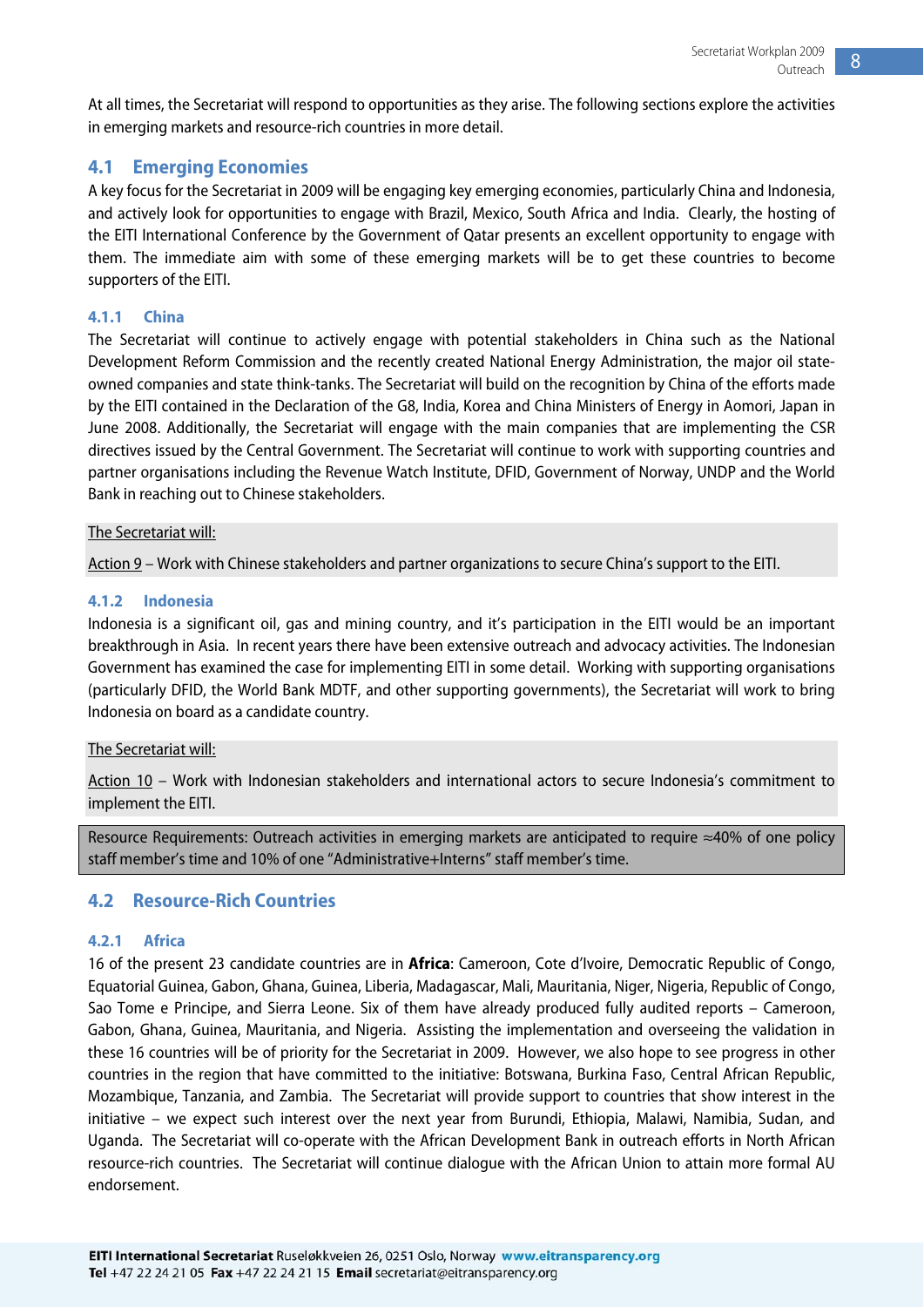<span id="page-8-0"></span>At all times, the Secretariat will respond to opportunities as they arise. The following sections explore the activities in emerging markets and resource-rich countries in more detail.

#### **4.1 Emerging Economies**

A key focus for the Secretariat in 2009 will be engaging key emerging economies, particularly China and Indonesia, and actively look for opportunities to engage with Brazil, Mexico, South Africa and India. Clearly, the hosting of the EITI International Conference by the Government of Qatar presents an excellent opportunity to engage with them. The immediate aim with some of these emerging markets will be to get these countries to become supporters of the EITI.

#### **4.1.1 China**

The Secretariat will continue to actively engage with potential stakeholders in China such as the National Development Reform Commission and the recently created National Energy Administration, the major oil stateowned companies and state think-tanks. The Secretariat will build on the recognition by China of the efforts made by the EITI contained in the Declaration of the G8, India, Korea and China Ministers of Energy in Aomori, Japan in June 2008. Additionally, the Secretariat will engage with the main companies that are implementing the CSR directives issued by the Central Government. The Secretariat will continue to work with supporting countries and partner organisations including the Revenue Watch Institute, DFID, Government of Norway, UNDP and the World Bank in reaching out to Chinese stakeholders.

#### The Secretariat will:

Action 9 – Work with Chinese stakeholders and partner organizations to secure China's support to the EITI.

#### **4.1.2 Indonesia**

Indonesia is a significant oil, gas and mining country, and it's participation in the EITI would be an important breakthrough in Asia. In recent years there have been extensive outreach and advocacy activities. The Indonesian Government has examined the case for implementing EITI in some detail. Working with supporting organisations (particularly DFID, the World Bank MDTF, and other supporting governments), the Secretariat will work to bring Indonesia on board as a candidate country.

#### The Secretariat will:

Action 10 – Work with Indonesian stakeholders and international actors to secure Indonesia's commitment to implement the EITI.

Resource Requirements: Outreach activities in emerging markets are anticipated to require ≈40% of one policy staff member's time and 10% of one "Administrative+Interns" staff member's time.

#### **4.2 Resource-Rich Countries**

#### **4.2.1 Africa**

16 of the present 23 candidate countries are in **Africa**: Cameroon, Cote d'Ivoire, Democratic Republic of Congo, Equatorial Guinea, Gabon, Ghana, Guinea, Liberia, Madagascar, Mali, Mauritania, Niger, Nigeria, Republic of Congo, Sao Tome e Principe, and Sierra Leone. Six of them have already produced fully audited reports – Cameroon, Gabon, Ghana, Guinea, Mauritania, and Nigeria. Assisting the implementation and overseeing the validation in these 16 countries will be of priority for the Secretariat in 2009. However, we also hope to see progress in other countries in the region that have committed to the initiative: Botswana, Burkina Faso, Central African Republic, Mozambique, Tanzania, and Zambia. The Secretariat will provide support to countries that show interest in the initiative – we expect such interest over the next year from Burundi, Ethiopia, Malawi, Namibia, Sudan, and Uganda. The Secretariat will co-operate with the African Development Bank in outreach efforts in North African resource-rich countries. The Secretariat will continue dialogue with the African Union to attain more formal AU endorsement.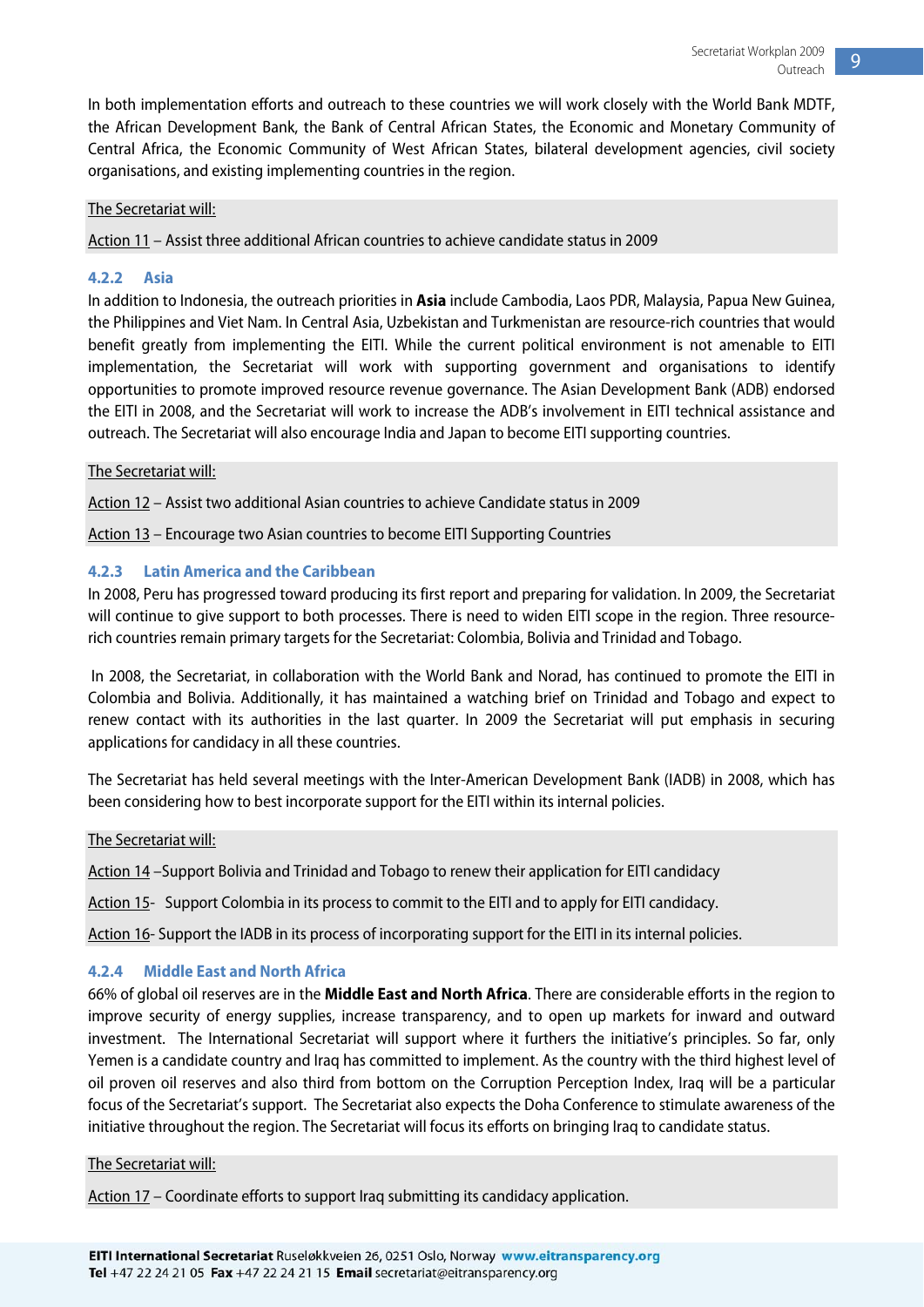In both implementation efforts and outreach to these countries we will work closely with the World Bank MDTF, the African Development Bank, the Bank of Central African States, the Economic and Monetary Community of Central Africa, the Economic Community of West African States, bilateral development agencies, civil society organisations, and existing implementing countries in the region.

#### The Secretariat will:

Action 11 – Assist three additional African countries to achieve candidate status in 2009

#### **4.2.2 Asia**

In addition to Indonesia, the outreach priorities in **Asia** include Cambodia, Laos PDR, Malaysia, Papua New Guinea, the Philippines and Viet Nam. In Central Asia, Uzbekistan and Turkmenistan are resource-rich countries that would benefit greatly from implementing the EITI. While the current political environment is not amenable to EITI implementation, the Secretariat will work with supporting government and organisations to identify opportunities to promote improved resource revenue governance. The Asian Development Bank (ADB) endorsed the EITI in 2008, and the Secretariat will work to increase the ADB's involvement in EITI technical assistance and outreach. The Secretariat will also encourage India and Japan to become EITI supporting countries.

#### The Secretariat will:

Action 12 – Assist two additional Asian countries to achieve Candidate status in 2009

Action 13 – Encourage two Asian countries to become EITI Supporting Countries

#### **4.2.3 Latin America and the Caribbean**

In 2008, Peru has progressed toward producing its first report and preparing for validation. In 2009, the Secretariat will continue to give support to both processes. There is need to widen EITI scope in the region. Three resourcerich countries remain primary targets for the Secretariat: Colombia, Bolivia and Trinidad and Tobago.

 In 2008, the Secretariat, in collaboration with the World Bank and Norad, has continued to promote the EITI in Colombia and Bolivia. Additionally, it has maintained a watching brief on Trinidad and Tobago and expect to renew contact with its authorities in the last quarter. In 2009 the Secretariat will put emphasis in securing applications for candidacy in all these countries.

The Secretariat has held several meetings with the Inter-American Development Bank (IADB) in 2008, which has been considering how to best incorporate support for the EITI within its internal policies.

The Secretariat will:

Action 14 –Support Bolivia and Trinidad and Tobago to renew their application for EITI candidacy

Action 15- Support Colombia in its process to commit to the EITI and to apply for EITI candidacy.

Action 16- Support the IADB in its process of incorporating support for the EITI in its internal policies.

#### **4.2.4 Middle East and North Africa**

66% of global oil reserves are in the **Middle East and North Africa**. There are considerable efforts in the region to improve security of energy supplies, increase transparency, and to open up markets for inward and outward investment. The International Secretariat will support where it furthers the initiative's principles. So far, only Yemen is a candidate country and Iraq has committed to implement. As the country with the third highest level of oil proven oil reserves and also third from bottom on the Corruption Perception Index, Iraq will be a particular focus of the Secretariat's support. The Secretariat also expects the Doha Conference to stimulate awareness of the initiative throughout the region. The Secretariat will focus its efforts on bringing Iraq to candidate status.

#### The Secretariat will:

Action 17 – Coordinate efforts to support Iraq submitting its candidacy application.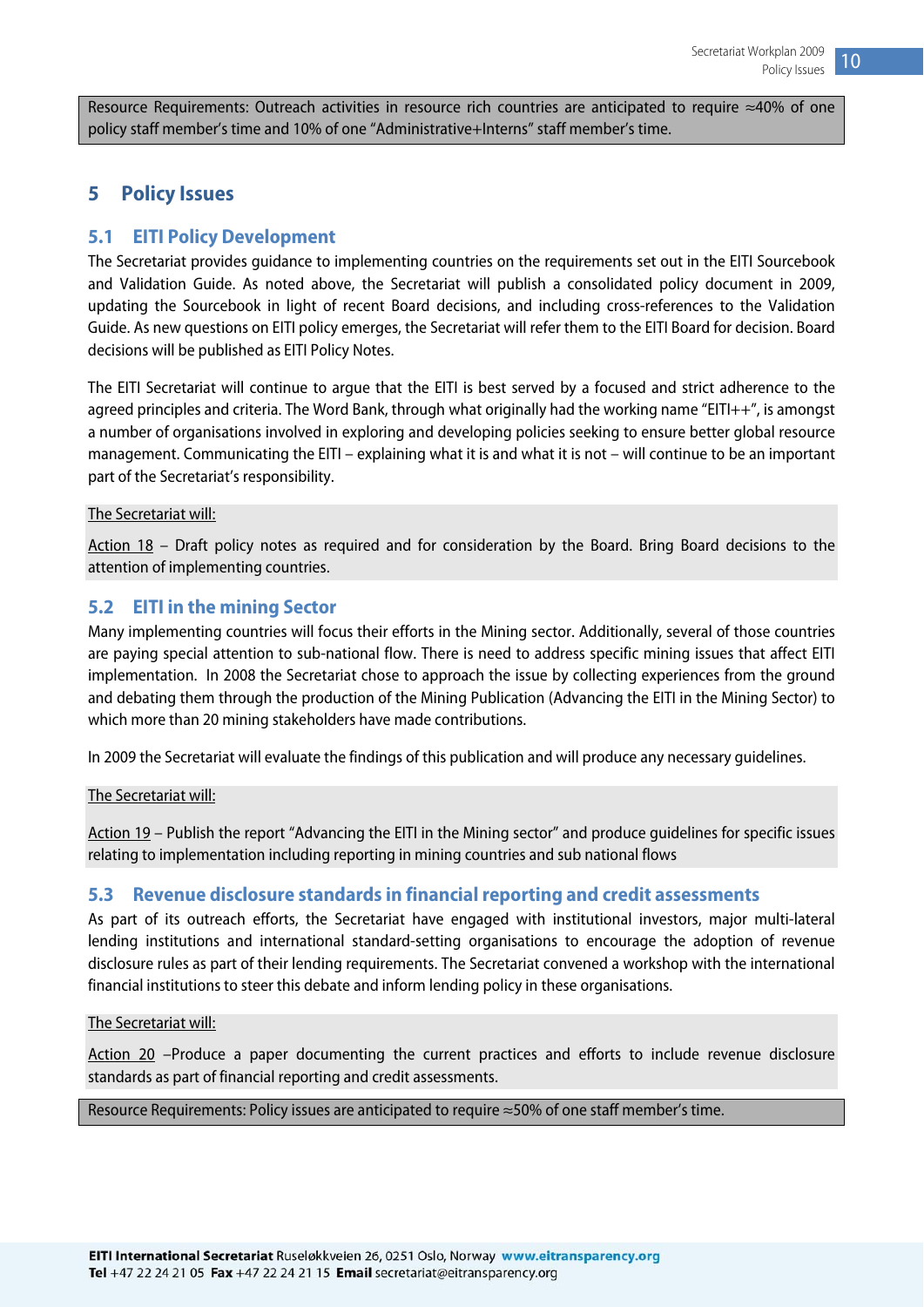<span id="page-10-0"></span>Resource Requirements: Outreach activities in resource rich countries are anticipated to require ≈40% of one policy staff member's time and 10% of one "Administrative+Interns" staff member's time.

#### **5 Policy Issues**

#### **5.1 EITI Policy Development**

The Secretariat provides guidance to implementing countries on the requirements set out in the EITI Sourcebook and Validation Guide. As noted above, the Secretariat will publish a consolidated policy document in 2009, updating the Sourcebook in light of recent Board decisions, and including cross-references to the Validation Guide. As new questions on EITI policy emerges, the Secretariat will refer them to the EITI Board for decision. Board decisions will be published as EITI Policy Notes.

The EITI Secretariat will continue to argue that the EITI is best served by a focused and strict adherence to the agreed principles and criteria. The Word Bank, through what originally had the working name "EITI++", is amongst a number of organisations involved in exploring and developing policies seeking to ensure better global resource management. Communicating the EITI – explaining what it is and what it is not – will continue to be an important part of the Secretariat's responsibility.

#### The Secretariat will:

Action 18 – Draft policy notes as required and for consideration by the Board. Bring Board decisions to the attention of implementing countries.

#### **5.2 EITI in the mining Sector**

Many implementing countries will focus their efforts in the Mining sector. Additionally, several of those countries are paying special attention to sub-national flow. There is need to address specific mining issues that affect EITI implementation. In 2008 the Secretariat chose to approach the issue by collecting experiences from the ground and debating them through the production of the Mining Publication (Advancing the EITI in the Mining Sector) to which more than 20 mining stakeholders have made contributions.

In 2009 the Secretariat will evaluate the findings of this publication and will produce any necessary guidelines.

#### The Secretariat will:

Action 19 – Publish the report "Advancing the EITI in the Mining sector" and produce guidelines for specific issues relating to implementation including reporting in mining countries and sub national flows

#### **5.3 Revenue disclosure standards in financial reporting and credit assessments**

As part of its outreach efforts, the Secretariat have engaged with institutional investors, major multi-lateral lending institutions and international standard-setting organisations to encourage the adoption of revenue disclosure rules as part of their lending requirements. The Secretariat convened a workshop with the international financial institutions to steer this debate and inform lending policy in these organisations.

#### The Secretariat will:

Action 20 –Produce a paper documenting the current practices and efforts to include revenue disclosure standards as part of financial reporting and credit assessments.

#### Resource Requirements: Policy issues are anticipated to require ≈50% of one staff member's time.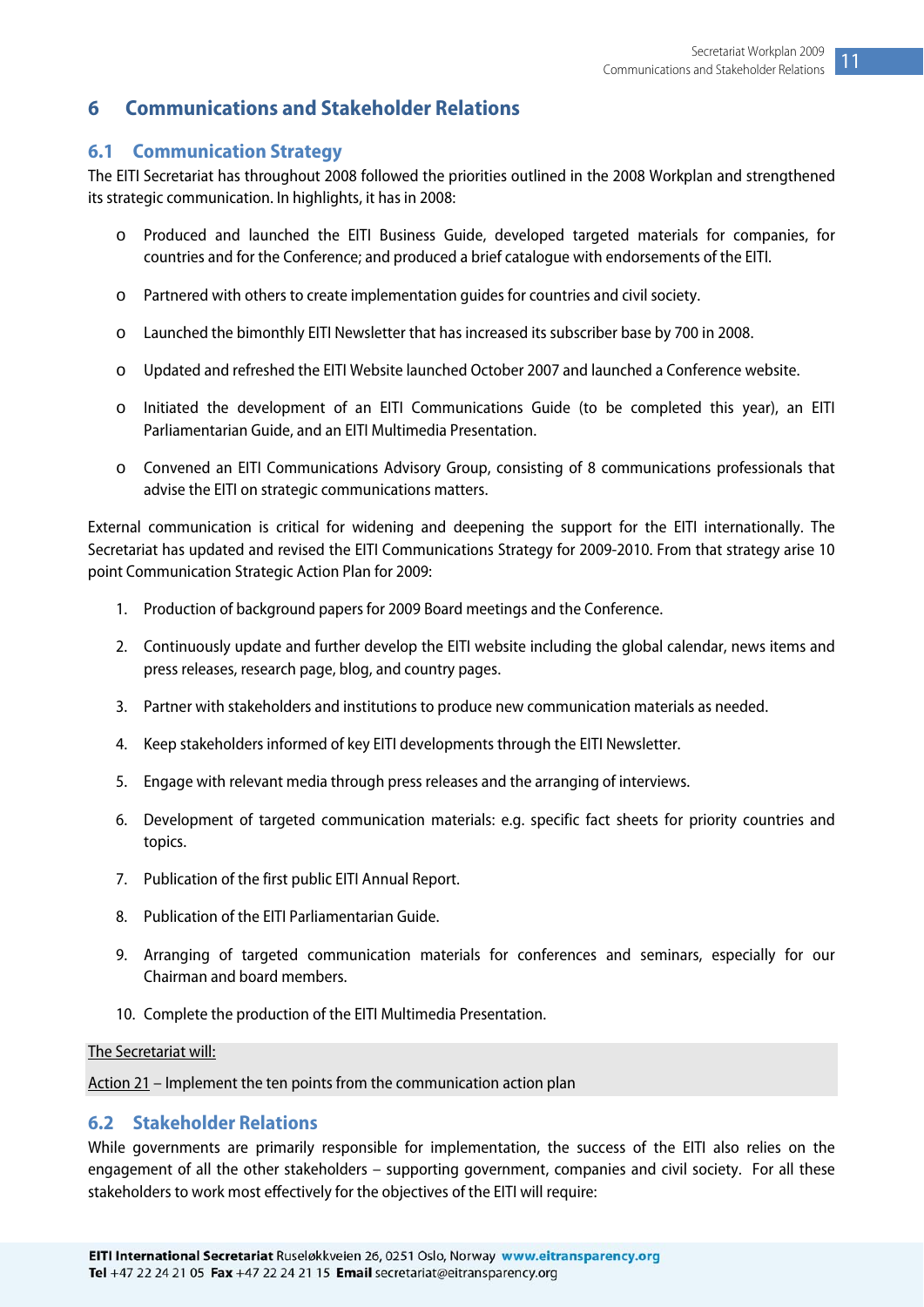#### <span id="page-11-0"></span>**6 Communications and Stakeholder Relations**

#### **6.1 Communication Strategy**

The EITI Secretariat has throughout 2008 followed the priorities outlined in the 2008 Workplan and strengthened its strategic communication. In highlights, it has in 2008:

- o Produced and launched the EITI Business Guide, developed targeted materials for companies, for countries and for the Conference; and produced a brief catalogue with endorsements of the EITI.
- o Partnered with others to create implementation guides for countries and civil society.
- o Launched the bimonthly EITI Newsletter that has increased its subscriber base by 700 in 2008.
- o Updated and refreshed the EITI Website launched October 2007 and launched a Conference website.
- o Initiated the development of an EITI Communications Guide (to be completed this year), an EITI Parliamentarian Guide, and an EITI Multimedia Presentation.
- o Convened an EITI Communications Advisory Group, consisting of 8 communications professionals that advise the EITI on strategic communications matters.

External communication is critical for widening and deepening the support for the EITI internationally. The Secretariat has updated and revised the EITI Communications Strategy for 2009-2010. From that strategy arise 10 point Communication Strategic Action Plan for 2009:

- 1. Production of background papers for 2009 Board meetings and the Conference.
- 2. Continuously update and further develop the EITI website including the global calendar, news items and press releases, research page, blog, and country pages.
- 3. Partner with stakeholders and institutions to produce new communication materials as needed.
- 4. Keep stakeholders informed of key EITI developments through the EITI Newsletter.
- 5. Engage with relevant media through press releases and the arranging of interviews.
- 6. Development of targeted communication materials: e.g. specific fact sheets for priority countries and topics.
- 7. Publication of the first public EITI Annual Report.
- 8. Publication of the EITI Parliamentarian Guide.
- 9. Arranging of targeted communication materials for conferences and seminars, especially for our Chairman and board members.
- 10. Complete the production of the EITI Multimedia Presentation.

#### The Secretariat will:

Action 21 – Implement the ten points from the communication action plan

#### **6.2 Stakeholder Relations**

While governments are primarily responsible for implementation, the success of the EITI also relies on the engagement of all the other stakeholders – supporting government, companies and civil society. For all these stakeholders to work most effectively for the objectives of the EITI will require: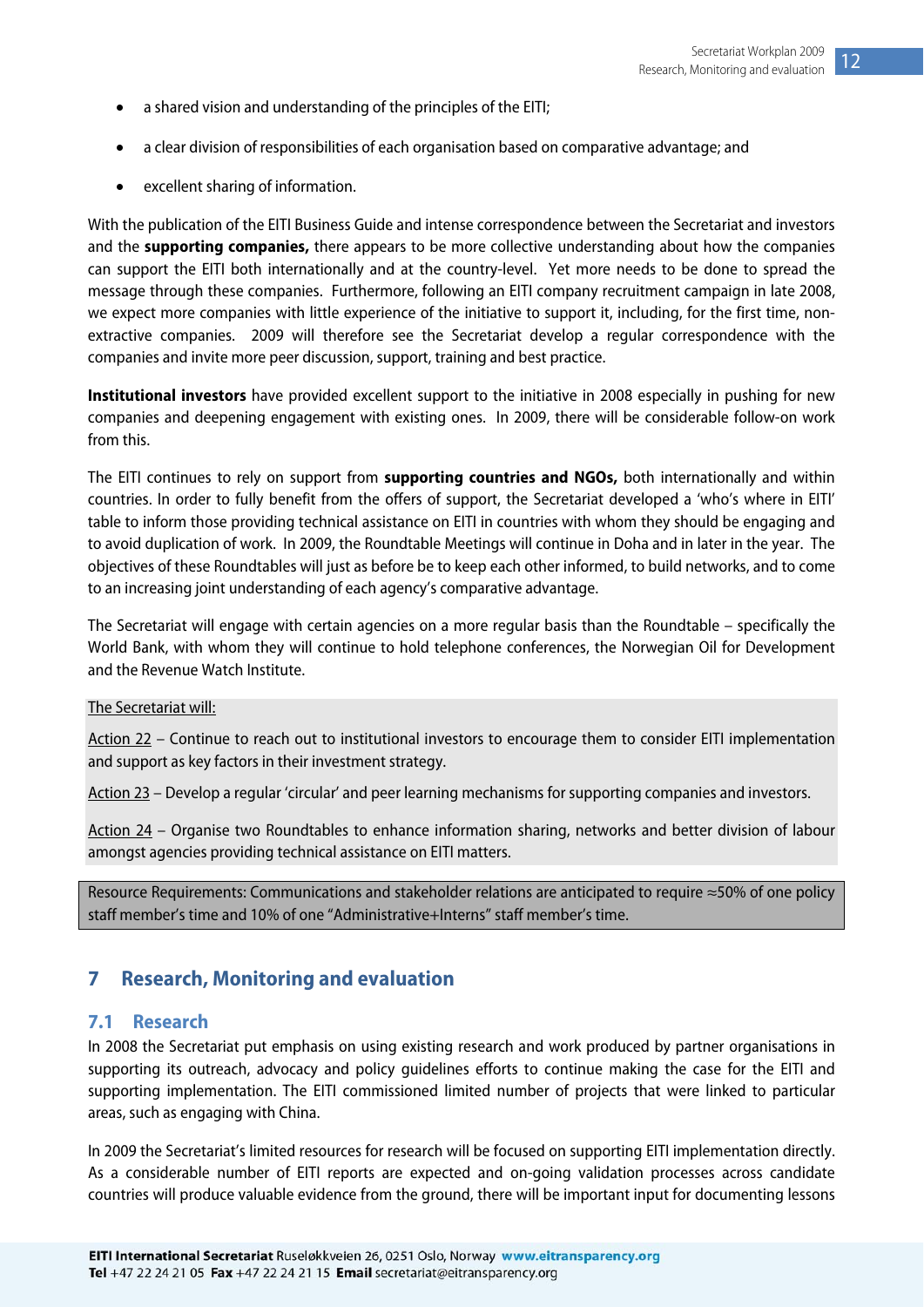- <span id="page-12-0"></span>• a shared vision and understanding of the principles of the EITI;
- a clear division of responsibilities of each organisation based on comparative advantage; and
- excellent sharing of information.

With the publication of the EITI Business Guide and intense correspondence between the Secretariat and investors and the **supporting companies,** there appears to be more collective understanding about how the companies can support the EITI both internationally and at the country-level. Yet more needs to be done to spread the message through these companies. Furthermore, following an EITI company recruitment campaign in late 2008, we expect more companies with little experience of the initiative to support it, including, for the first time, nonextractive companies. 2009 will therefore see the Secretariat develop a regular correspondence with the companies and invite more peer discussion, support, training and best practice.

**Institutional investors** have provided excellent support to the initiative in 2008 especially in pushing for new companies and deepening engagement with existing ones. In 2009, there will be considerable follow-on work from this.

The EITI continues to rely on support from **supporting countries and NGOs,** both internationally and within countries. In order to fully benefit from the offers of support, the Secretariat developed a 'who's where in EITI' table to inform those providing technical assistance on EITI in countries with whom they should be engaging and to avoid duplication of work. In 2009, the Roundtable Meetings will continue in Doha and in later in the year. The objectives of these Roundtables will just as before be to keep each other informed, to build networks, and to come to an increasing joint understanding of each agency's comparative advantage.

The Secretariat will engage with certain agencies on a more regular basis than the Roundtable – specifically the World Bank, with whom they will continue to hold telephone conferences, the Norwegian Oil for Development and the Revenue Watch Institute.

#### The Secretariat will:

Action 22 – Continue to reach out to institutional investors to encourage them to consider EITI implementation and support as key factors in their investment strategy.

Action 23 – Develop a regular 'circular' and peer learning mechanisms for supporting companies and investors.

Action 24 – Organise two Roundtables to enhance information sharing, networks and better division of labour amongst agencies providing technical assistance on EITI matters.

Resource Requirements: Communications and stakeholder relations are anticipated to require ≈50% of one policy staff member's time and 10% of one "Administrative+Interns" staff member's time.

#### **7 Research, Monitoring and evaluation**

#### **7.1 Research**

In 2008 the Secretariat put emphasis on using existing research and work produced by partner organisations in supporting its outreach, advocacy and policy guidelines efforts to continue making the case for the EITI and supporting implementation. The EITI commissioned limited number of projects that were linked to particular areas, such as engaging with China.

In 2009 the Secretariat's limited resources for research will be focused on supporting EITI implementation directly. As a considerable number of EITI reports are expected and on-going validation processes across candidate countries will produce valuable evidence from the ground, there will be important input for documenting lessons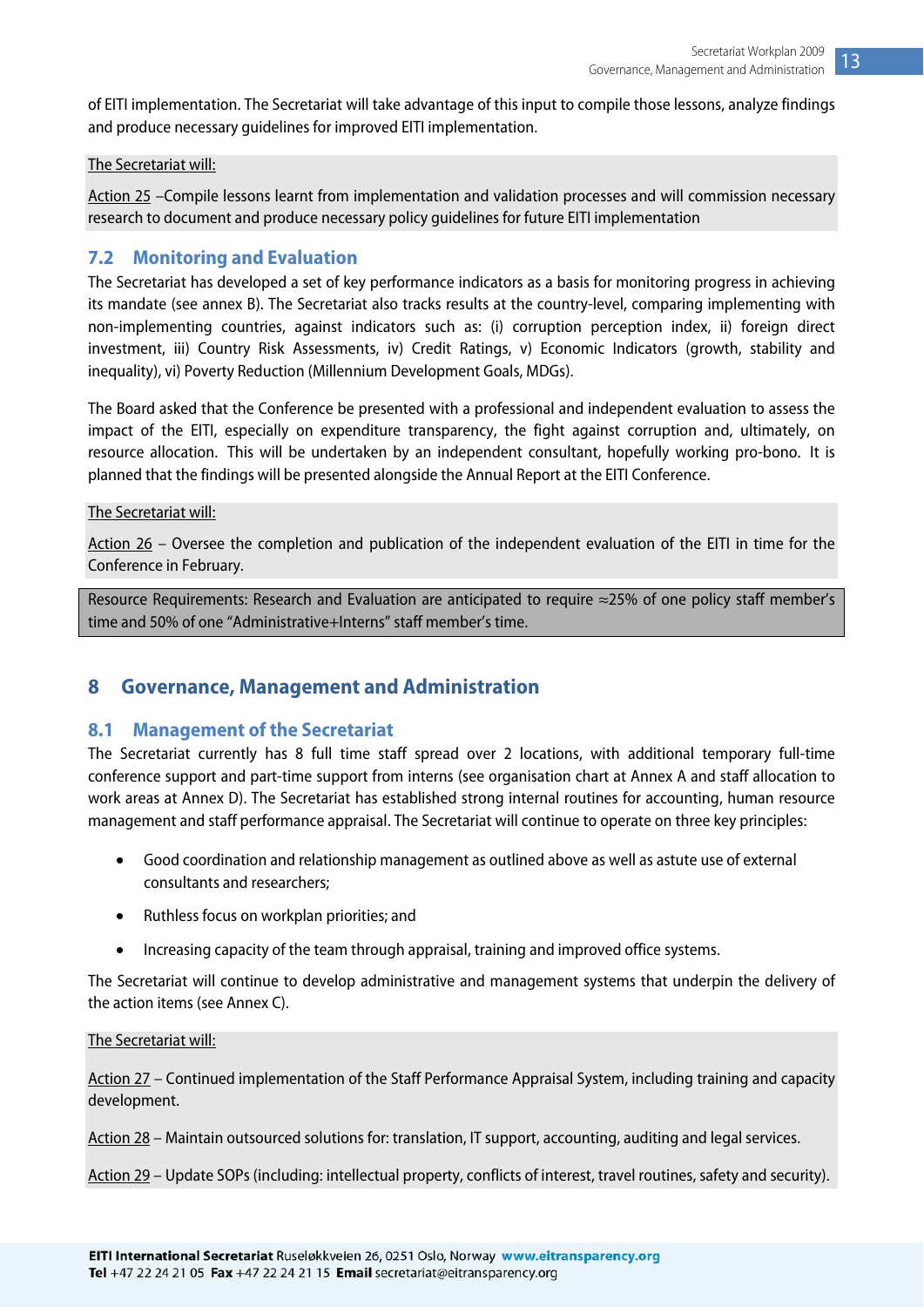<span id="page-13-0"></span>of EITI implementation. The Secretariat will take advantage of this input to compile those lessons, analyze findings and produce necessary guidelines for improved EITI implementation.

#### The Secretariat will:

Action 25 –Compile lessons learnt from implementation and validation processes and will commission necessary research to document and produce necessary policy guidelines for future EITI implementation

#### **7.2 Monitoring and Evaluation**

The Secretariat has developed a set of key performance indicators as a basis for monitoring progress in achieving its mandate (see annex B). The Secretariat also tracks results at the country-level, comparing implementing with non-implementing countries, against indicators such as: (i) corruption perception index, ii) foreign direct investment, iii) Country Risk Assessments, iv) Credit Ratings, v) Economic Indicators (growth, stability and inequality), vi) Poverty Reduction (Millennium Development Goals, MDGs).

The Board asked that the Conference be presented with a professional and independent evaluation to assess the impact of the EITI, especially on expenditure transparency, the fight against corruption and, ultimately, on resource allocation. This will be undertaken by an independent consultant, hopefully working pro-bono. It is planned that the findings will be presented alongside the Annual Report at the EITI Conference.

#### The Secretariat will:

Action 26 – Oversee the completion and publication of the independent evaluation of the EITI in time for the Conference in February.

Resource Requirements: Research and Evaluation are anticipated to require ≈25% of one policy staff member's time and 50% of one "Administrative+Interns" staff member's time.

#### **8 Governance, Management and Administration**

#### **8.1 Management of the Secretariat**

The Secretariat currently has 8 full time staff spread over 2 locations, with additional temporary full-time conference support and part-time support from interns (see organisation chart at Annex A and staff allocation to work areas at Annex D). The Secretariat has established strong internal routines for accounting, human resource management and staff performance appraisal. The Secretariat will continue to operate on three key principles:

- Good coordination and relationship management as outlined above as well as astute use of external consultants and researchers;
- Ruthless focus on workplan priorities; and
- Increasing capacity of the team through appraisal, training and improved office systems.

The Secretariat will continue to develop administrative and management systems that underpin the delivery of the action items (see Annex C).

#### The Secretariat will:

Action 27 – Continued implementation of the Staff Performance Appraisal System, including training and capacity development.

Action 28 – Maintain outsourced solutions for: translation, IT support, accounting, auditing and legal services.

Action 29 – Update SOPs (including: intellectual property, conflicts of interest, travel routines, safety and security).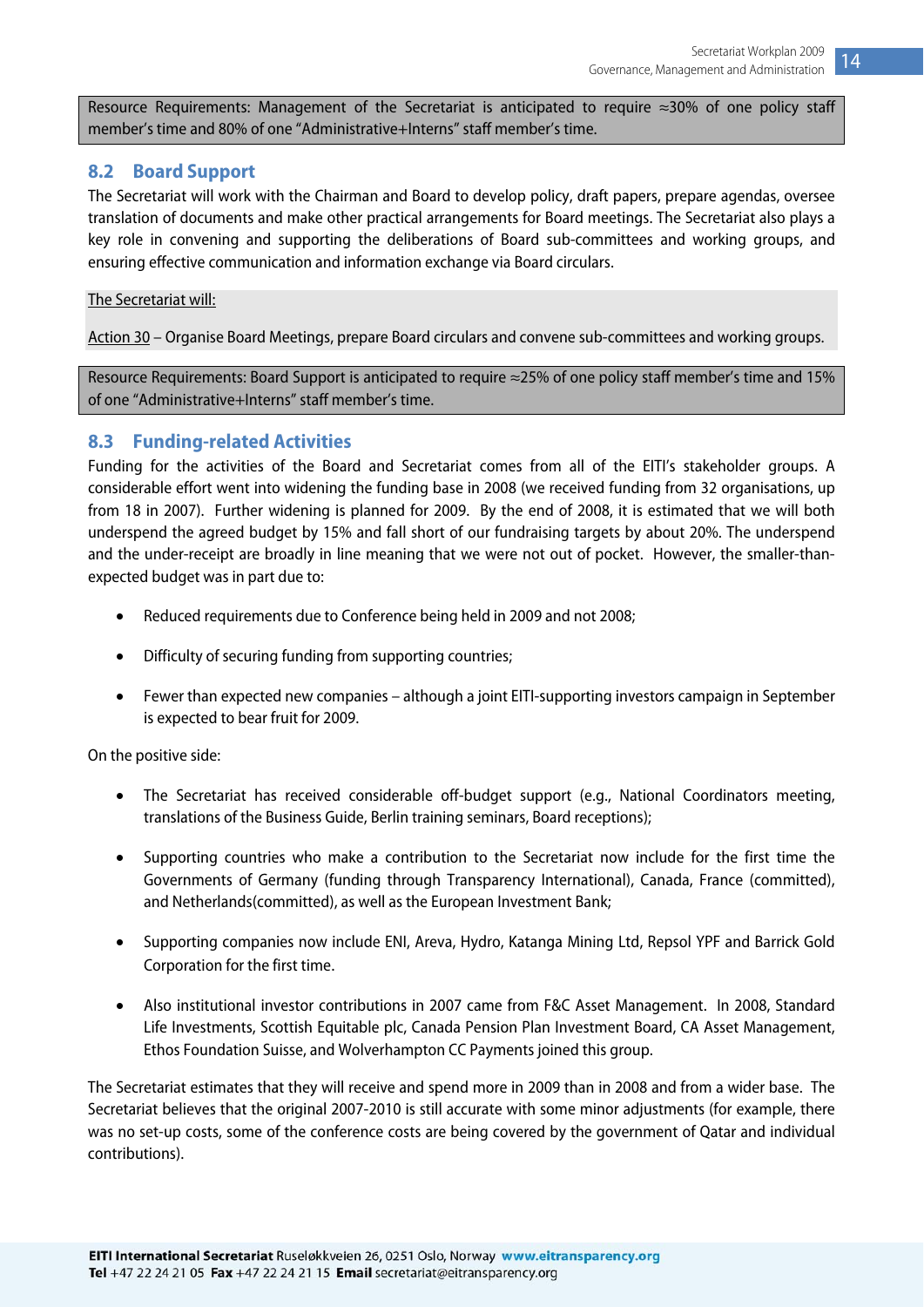<span id="page-14-0"></span>Resource Requirements: Management of the Secretariat is anticipated to require ≈30% of one policy staff member's time and 80% of one "Administrative+Interns" staff member's time.

#### **8.2 Board Support**

The Secretariat will work with the Chairman and Board to develop policy, draft papers, prepare agendas, oversee translation of documents and make other practical arrangements for Board meetings. The Secretariat also plays a key role in convening and supporting the deliberations of Board sub-committees and working groups, and ensuring effective communication and information exchange via Board circulars.

#### The Secretariat will:

Action 30 – Organise Board Meetings, prepare Board circulars and convene sub-committees and working groups.

Resource Requirements: Board Support is anticipated to require ≈25% of one policy staff member's time and 15% of one "Administrative+Interns" staff member's time.

#### **8.3 Funding-related Activities**

Funding for the activities of the Board and Secretariat comes from all of the EITI's stakeholder groups. A considerable effort went into widening the funding base in 2008 (we received funding from 32 organisations, up from 18 in 2007). Further widening is planned for 2009. By the end of 2008, it is estimated that we will both underspend the agreed budget by 15% and fall short of our fundraising targets by about 20%. The underspend and the under-receipt are broadly in line meaning that we were not out of pocket. However, the smaller-thanexpected budget was in part due to:

- Reduced requirements due to Conference being held in 2009 and not 2008;
- Difficulty of securing funding from supporting countries;
- Fewer than expected new companies although a joint EITI-supporting investors campaign in September is expected to bear fruit for 2009.

On the positive side:

- The Secretariat has received considerable off-budget support (e.g., National Coordinators meeting, translations of the Business Guide, Berlin training seminars, Board receptions);
- Supporting countries who make a contribution to the Secretariat now include for the first time the Governments of Germany (funding through Transparency International), Canada, France (committed), and Netherlands(committed), as well as the European Investment Bank;
- Supporting companies now include ENI, Areva, Hydro, Katanga Mining Ltd, Repsol YPF and Barrick Gold Corporation for the first time.
- Also institutional investor contributions in 2007 came from F&C Asset Management. In 2008, Standard Life Investments, Scottish Equitable plc, Canada Pension Plan Investment Board, CA Asset Management, Ethos Foundation Suisse, and Wolverhampton CC Payments joined this group.

The Secretariat estimates that they will receive and spend more in 2009 than in 2008 and from a wider base. The Secretariat believes that the original 2007-2010 is still accurate with some minor adjustments (for example, there was no set-up costs, some of the conference costs are being covered by the government of Qatar and individual contributions).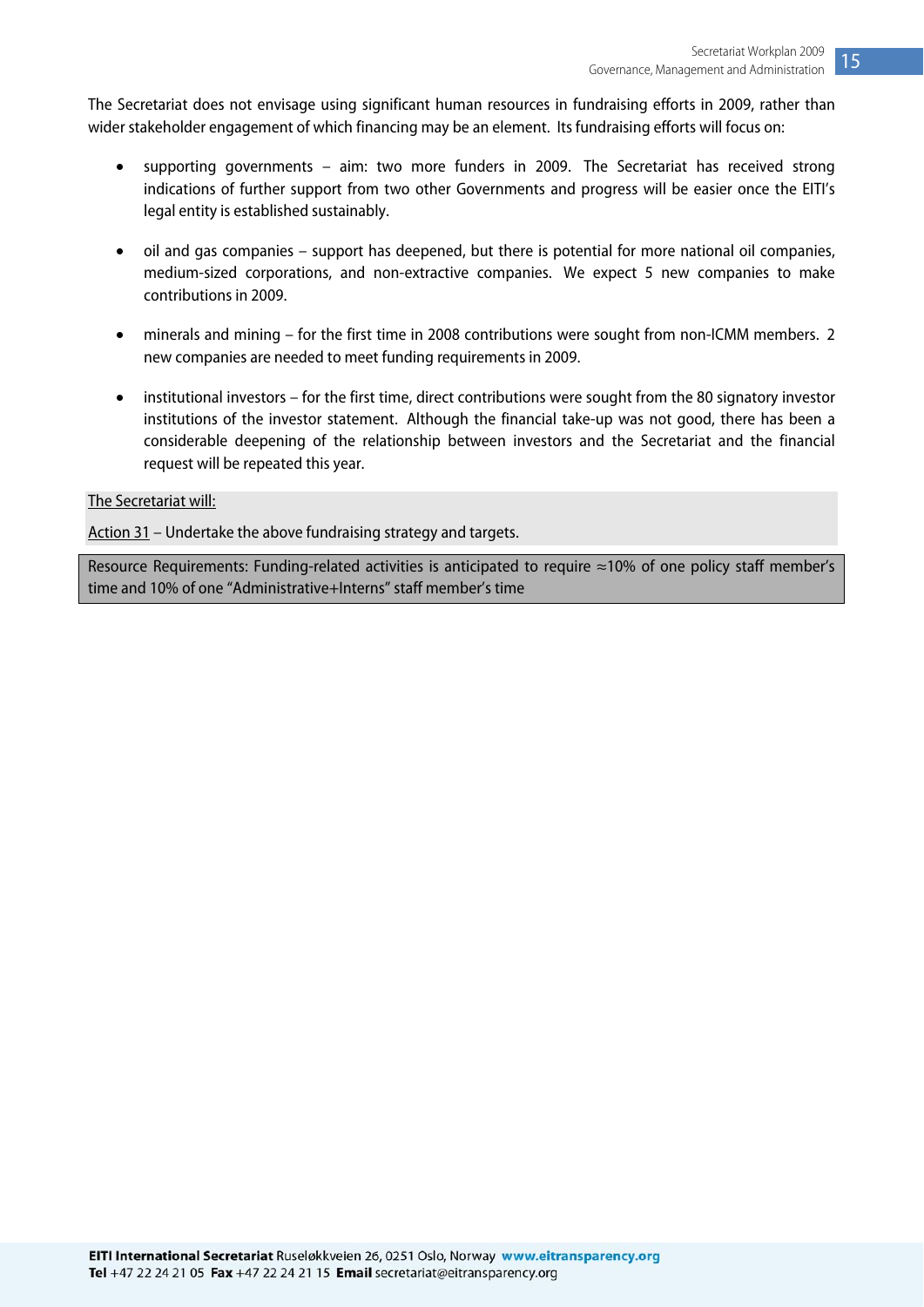The Secretariat does not envisage using significant human resources in fundraising efforts in 2009, rather than wider stakeholder engagement of which financing may be an element. Its fundraising efforts will focus on:

- supporting governments aim: two more funders in 2009. The Secretariat has received strong indications of further support from two other Governments and progress will be easier once the EITI's legal entity is established sustainably.
- oil and gas companies support has deepened, but there is potential for more national oil companies, medium-sized corporations, and non-extractive companies. We expect 5 new companies to make contributions in 2009.
- minerals and mining for the first time in 2008 contributions were sought from non-ICMM members. 2 new companies are needed to meet funding requirements in 2009.
- institutional investors for the first time, direct contributions were sought from the 80 signatory investor institutions of the investor statement. Although the financial take-up was not good, there has been a considerable deepening of the relationship between investors and the Secretariat and the financial request will be repeated this year.

#### The Secretariat will:

Action 31 – Undertake the above fundraising strategy and targets.

Resource Requirements: Funding-related activities is anticipated to require ≈10% of one policy staff member's time and 10% of one "Administrative+Interns" staff member's time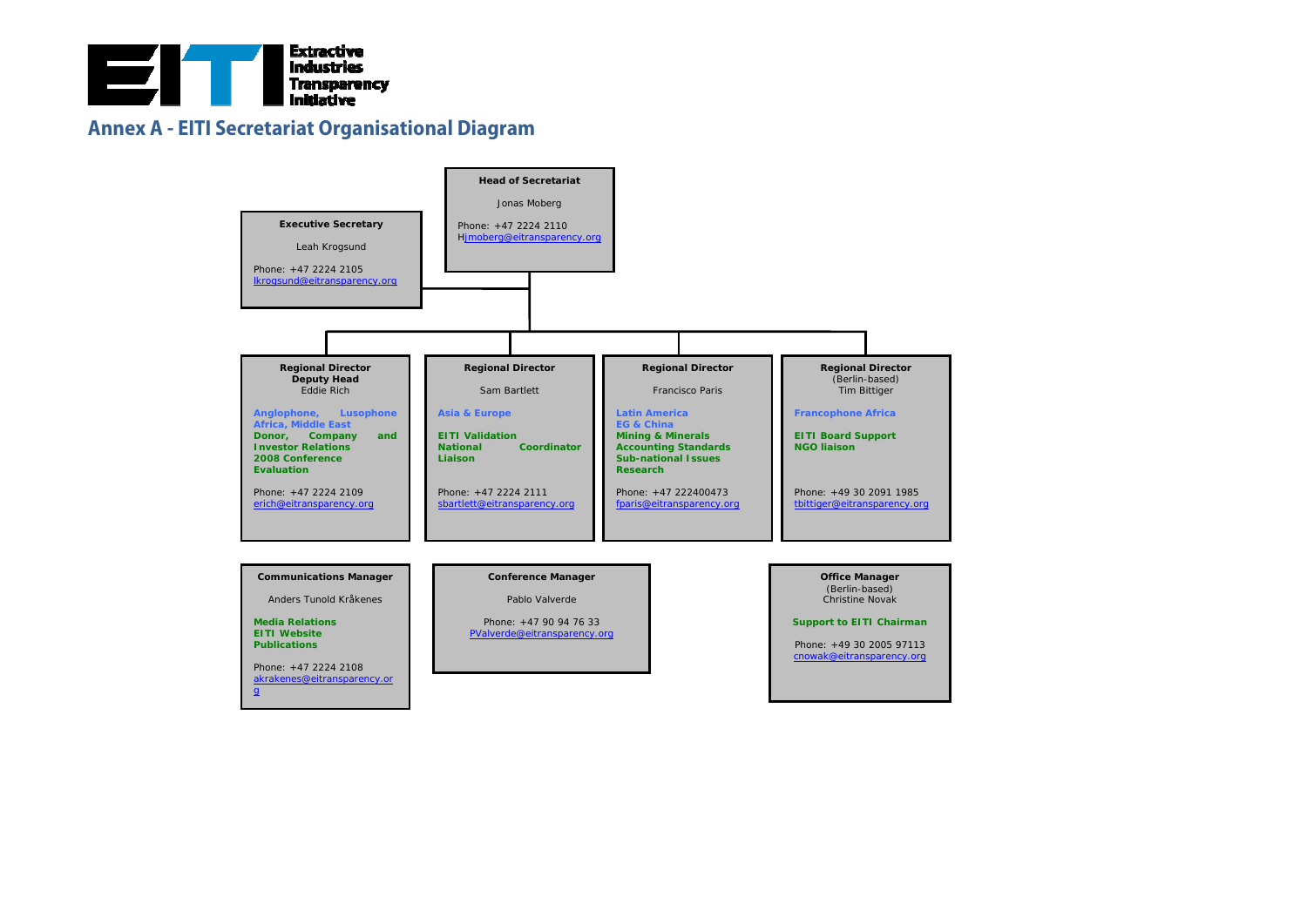

#### **Annex A - EITI Secretariat Organisational Diagram**

<span id="page-16-0"></span>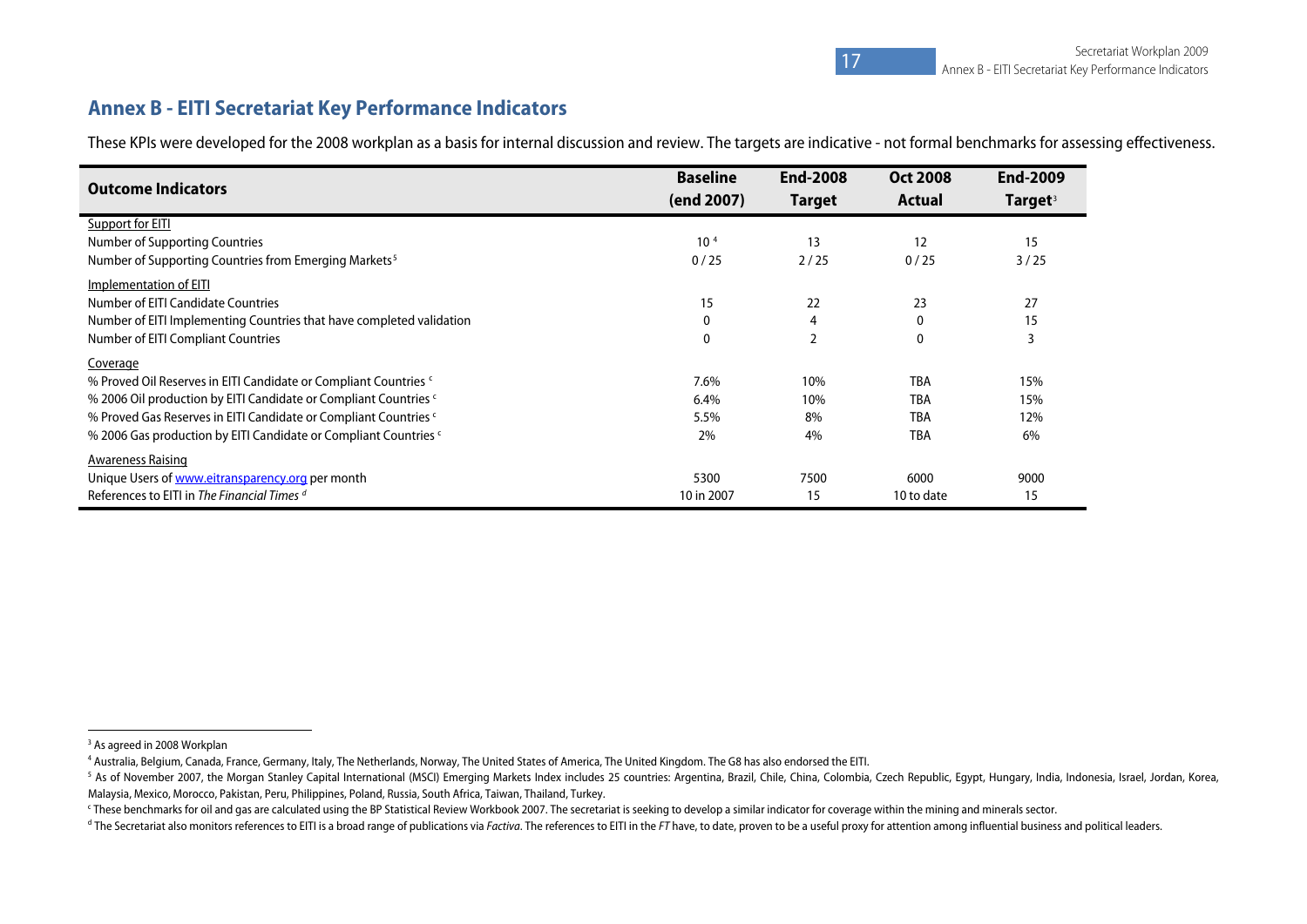#### **Annex B - EITI Secretariat Key Performance Indicators**

These KPIs were developed for the 2008 workplan as a basis for internal discussion and review. The targets are indicative - not formal benchmarks for assessing effectiveness.

| <b>Outcome Indicators</b>                                                   | <b>Baseline</b><br>(end 2007) | <b>End-2008</b><br><b>Target</b> | <b>Oct 2008</b><br><b>Actual</b> | <b>End-2009</b><br><b>Target</b> <sup>3</sup> |
|-----------------------------------------------------------------------------|-------------------------------|----------------------------------|----------------------------------|-----------------------------------------------|
| Support for EITI                                                            |                               |                                  |                                  |                                               |
| Number of Supporting Countries                                              | 10 <sup>4</sup>               | 13                               | 12                               | 15                                            |
| Number of Supporting Countries from Emerging Markets <sup>5</sup>           | 0/25                          | 2/25                             | 0/25                             | 3/25                                          |
| Implementation of EITI                                                      |                               |                                  |                                  |                                               |
| Number of EITI Candidate Countries                                          | 15                            | 22                               | 23                               | 27                                            |
| Number of EITI Implementing Countries that have completed validation        | $\mathbf 0$                   | 4                                | 0                                | 15                                            |
| Number of EITI Compliant Countries                                          | $\mathbf 0$                   | $\overline{2}$                   | 0                                |                                               |
| Coverage                                                                    |                               |                                  |                                  |                                               |
| % Proved Oil Reserves in EITI Candidate or Compliant Countries <sup>c</sup> | 7.6%                          | 10%                              | <b>TBA</b>                       | 15%                                           |
| % 2006 Oil production by EITI Candidate or Compliant Countries <sup>c</sup> | 6.4%                          | 10%                              | <b>TBA</b>                       | 15%                                           |
| % Proved Gas Reserves in EITI Candidate or Compliant Countries <sup>c</sup> | 5.5%                          | 8%                               | <b>TBA</b>                       | 12%                                           |
| % 2006 Gas production by EITI Candidate or Compliant Countries c            | 2%                            | 4%                               | <b>TBA</b>                       | 6%                                            |
| <b>Awareness Raising</b>                                                    |                               |                                  |                                  |                                               |
| Unique Users of www.eitransparency.org per month                            | 5300                          | 7500                             | 6000                             | 9000                                          |
| References to EITI in The Financial Times d                                 | 10 in 2007                    | 15                               | 10 to date                       | 15                                            |

<span id="page-17-1"></span><sup>&</sup>lt;sup>3</sup> As agreed in 2008 Workplan

<span id="page-17-2"></span><sup>4</sup> Australia, Belgium, Canada, France, Germany, Italy, The Netherlands, Norway, The United States of America, The United Kingdom. The G8 has also endorsed the EITI.

<span id="page-17-3"></span><sup>&</sup>lt;sup>5</sup> As of November 2007, the Morgan Stanley Capital International (MSCI) Emerging Markets Index includes 25 countries: Argentina, Brazil, Chile, China, Colombia, Czech Republic, Egypt, Hungary, India, Indonesia, Israel, Jo Malaysia, Mexico, Morocco, Pakistan, Peru, Philippines, Poland, Russia, South Africa, Taiwan, Thailand, Turkey.

<span id="page-17-4"></span><sup>&</sup>lt;sup>c</sup> These benchmarks for oil and gas are calculated using the BP Statistical Review Workbook 2007. The secretariat is seeking to develop a similar indicator for coverage within the mining and minerals sector.

<span id="page-17-5"></span><span id="page-17-0"></span><sup>&</sup>lt;sup>d</sup> The Secretariat also monitors references to EITI is a broad range of publications via Factiva. The references to EITI in the FT have, to date, proven to be a useful proxy for attention among influential business and po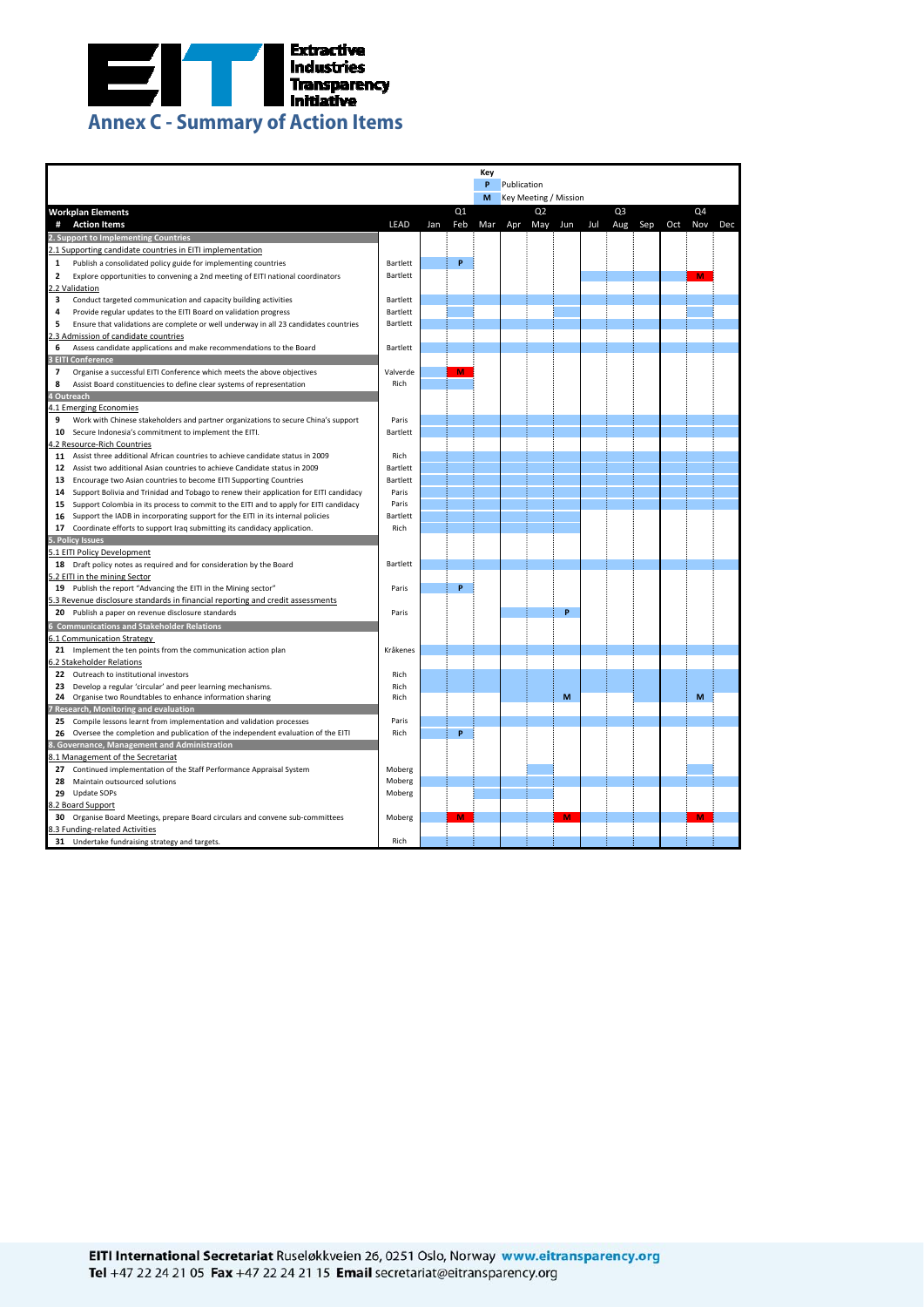<span id="page-18-0"></span>

|                                   | Key                                                                                                                                                              |                  |     |                |     |                              |                |     |     |                |     |     |                |     |
|-----------------------------------|------------------------------------------------------------------------------------------------------------------------------------------------------------------|------------------|-----|----------------|-----|------------------------------|----------------|-----|-----|----------------|-----|-----|----------------|-----|
|                                   |                                                                                                                                                                  | P<br>Publication |     |                |     |                              |                |     |     |                |     |     |                |     |
|                                   |                                                                                                                                                                  |                  |     |                | М   | <b>Key Meeting / Mission</b> |                |     |     |                |     |     |                |     |
| <b>Workplan Elements</b>          |                                                                                                                                                                  |                  |     | Q <sub>1</sub> |     |                              | Q <sub>2</sub> |     |     | Q <sub>3</sub> |     |     | Q <sub>4</sub> |     |
| <b>Action Items</b><br>#          |                                                                                                                                                                  | <b>LEAD</b>      | Jan | Feb            | Mar | Apr                          | May            | Jun | Jul | Aug            | Sep | Oct | Nov            | Dec |
|                                   | 2. Support to Implementing Countries                                                                                                                             |                  |     |                |     |                              |                |     |     |                |     |     |                |     |
|                                   | 2.1 Supporting candidate countries in EITI implementation                                                                                                        |                  |     |                |     |                              |                |     |     |                |     |     |                |     |
| 1                                 | Publish a consolidated policy guide for implementing countries                                                                                                   | Bartlett         |     | P              |     |                              |                |     |     |                |     |     |                |     |
| $\overline{\mathbf{2}}$           | Explore opportunities to convening a 2nd meeting of EITI national coordinators                                                                                   | Bartlett         |     |                |     |                              |                |     |     |                |     |     | M              |     |
| 2.2 Validation                    |                                                                                                                                                                  |                  |     |                |     |                              |                |     |     |                |     |     |                |     |
| 3                                 | Conduct targeted communication and capacity building activities                                                                                                  | Bartlett         |     |                |     |                              |                |     |     |                |     |     |                |     |
| $\overline{a}$                    | Provide regular updates to the EITI Board on validation progress                                                                                                 | Bartlett         |     |                |     |                              |                |     |     |                |     |     |                |     |
| 5                                 | Ensure that validations are complete or well underway in all 23 candidates countries                                                                             | Bartlett         |     |                |     |                              |                |     |     |                |     |     |                |     |
|                                   | 2.3 Admission of candidate countries                                                                                                                             |                  |     |                |     |                              |                |     |     |                |     |     |                |     |
| 6                                 | Assess candidate applications and make recommendations to the Board                                                                                              | Bartlett         |     |                |     |                              |                |     |     |                |     |     |                |     |
| <b>3 EITI Conference</b>          |                                                                                                                                                                  |                  |     |                |     |                              |                |     |     |                |     |     |                |     |
| $\overline{7}$                    | Organise a successful EITI Conference which meets the above objectives                                                                                           | Valverde         |     | M              |     |                              |                |     |     |                |     |     |                |     |
| 8                                 | Assist Board constituencies to define clear systems of representation                                                                                            | Rich             |     |                |     |                              |                |     |     |                |     |     |                |     |
| 4 Outreach                        |                                                                                                                                                                  |                  |     |                |     |                              |                |     |     |                |     |     |                |     |
| 4.1 Emerging Economies            |                                                                                                                                                                  |                  |     |                |     |                              |                |     |     |                |     |     |                |     |
| 9                                 | Work with Chinese stakeholders and partner organizations to secure China's support                                                                               | Paris            |     |                |     |                              |                |     |     |                |     |     |                |     |
|                                   | 10 Secure Indonesia's commitment to implement the EITI.                                                                                                          | Bartlett         |     |                |     |                              |                |     |     |                |     |     |                |     |
| 4.2 Resource-Rich Countries       |                                                                                                                                                                  |                  |     |                |     |                              |                |     |     |                |     |     |                |     |
|                                   | 11 Assist three additional African countries to achieve candidate status in 2009<br>12 Assist two additional Asian countries to achieve Candidate status in 2009 | Rich<br>Bartlett |     |                |     |                              |                |     |     |                |     |     |                |     |
|                                   | 13 Encourage two Asian countries to become EITI Supporting Countries                                                                                             | Bartlett         |     |                |     |                              |                |     |     |                |     |     |                |     |
|                                   | 14 Support Bolivia and Trinidad and Tobago to renew their application for EITI candidacy                                                                         | Paris            |     |                |     |                              |                |     |     |                |     |     |                |     |
|                                   | 15 Support Colombia in its process to commit to the EITI and to apply for EITI candidacy                                                                         | Paris            |     |                |     |                              |                |     |     |                |     |     |                |     |
| 16                                | Support the IADB in incorporating support for the EITI in its internal policies                                                                                  | Bartlett         |     |                |     |                              |                |     |     |                |     |     |                |     |
| 17                                | Coordinate efforts to support Iraq submitting its candidacy application.                                                                                         | Rich             |     |                |     |                              |                |     |     |                |     |     |                |     |
| 5. Policy Issues                  |                                                                                                                                                                  |                  |     |                |     |                              |                |     |     |                |     |     |                |     |
| 5.1 EITI Policy Development       |                                                                                                                                                                  |                  |     |                |     |                              |                |     |     |                |     |     |                |     |
|                                   | 18 Draft policy notes as required and for consideration by the Board                                                                                             | Bartlett         |     |                |     |                              |                |     |     |                |     |     |                |     |
| 5.2 EITI in the mining Sector     |                                                                                                                                                                  |                  |     |                |     |                              |                |     |     |                |     |     |                |     |
|                                   | 19 Publish the report "Advancing the EITI in the Mining sector"                                                                                                  | Paris            |     | P              |     |                              |                |     |     |                |     |     |                |     |
|                                   | 5.3 Revenue disclosure standards in financial reporting and credit assessments                                                                                   |                  |     |                |     |                              |                |     |     |                |     |     |                |     |
|                                   | 20 Publish a paper on revenue disclosure standards                                                                                                               | Paris            |     |                |     |                              |                | Þ   |     |                |     |     |                |     |
|                                   | <b>6 Communications and Stakeholder Relations</b>                                                                                                                |                  |     |                |     |                              |                |     |     |                |     |     |                |     |
| <b>6.1 Communication Strategy</b> |                                                                                                                                                                  |                  |     |                |     |                              |                |     |     |                |     |     |                |     |
|                                   | 21 Implement the ten points from the communication action plan                                                                                                   | Kråkenes         |     |                |     |                              |                |     |     |                |     |     |                |     |
| 6.2 Stakeholder Relations         |                                                                                                                                                                  |                  |     |                |     |                              |                |     |     |                |     |     |                |     |
|                                   | 22 Outreach to institutional investors                                                                                                                           | Rich             |     |                |     |                              |                |     |     |                |     |     |                |     |
|                                   | 23 Develop a regular 'circular' and peer learning mechanisms.                                                                                                    | Rich             |     |                |     |                              |                |     |     |                |     |     |                |     |
|                                   | 24 Organise two Roundtables to enhance information sharing                                                                                                       | Rich             |     |                |     |                              |                | M   |     |                |     |     | M              |     |
|                                   | 7 Research, Monitoring and evaluation                                                                                                                            |                  |     |                |     |                              |                |     |     |                |     |     |                |     |
|                                   | 25 Compile lessons learnt from implementation and validation processes                                                                                           | Paris            |     |                |     |                              |                |     |     |                |     |     |                |     |
|                                   | 26 Oversee the completion and publication of the independent evaluation of the EITI                                                                              | Rich             |     | P              |     |                              |                |     |     |                |     |     |                |     |
|                                   | 8. Governance, Management and Administration                                                                                                                     |                  |     |                |     |                              |                |     |     |                |     |     |                |     |
|                                   | <b>8.1 Management of the Secretariat</b>                                                                                                                         |                  |     |                |     |                              |                |     |     |                |     |     |                |     |
| 28                                | 27 Continued implementation of the Staff Performance Appraisal System<br>Maintain outsourced solutions                                                           | Moberg<br>Moberg |     |                |     |                              |                |     |     |                |     |     |                |     |
| 29 Update SOPs                    |                                                                                                                                                                  | Moberg           |     |                |     |                              |                |     |     |                |     |     |                |     |
| 8.2 Board Support                 |                                                                                                                                                                  |                  |     |                |     |                              |                |     |     |                |     |     |                |     |
|                                   | 30 Organise Board Meetings, prepare Board circulars and convene sub-committees                                                                                   | Moberg           |     | M              |     |                              |                | M   |     |                |     |     | M              |     |
| 8.3 Funding-related Activities    |                                                                                                                                                                  |                  |     |                |     |                              |                |     |     |                |     |     |                |     |
|                                   | 31 Undertake fundraising strategy and targets.                                                                                                                   | Rich             |     |                |     |                              |                |     |     |                |     |     |                |     |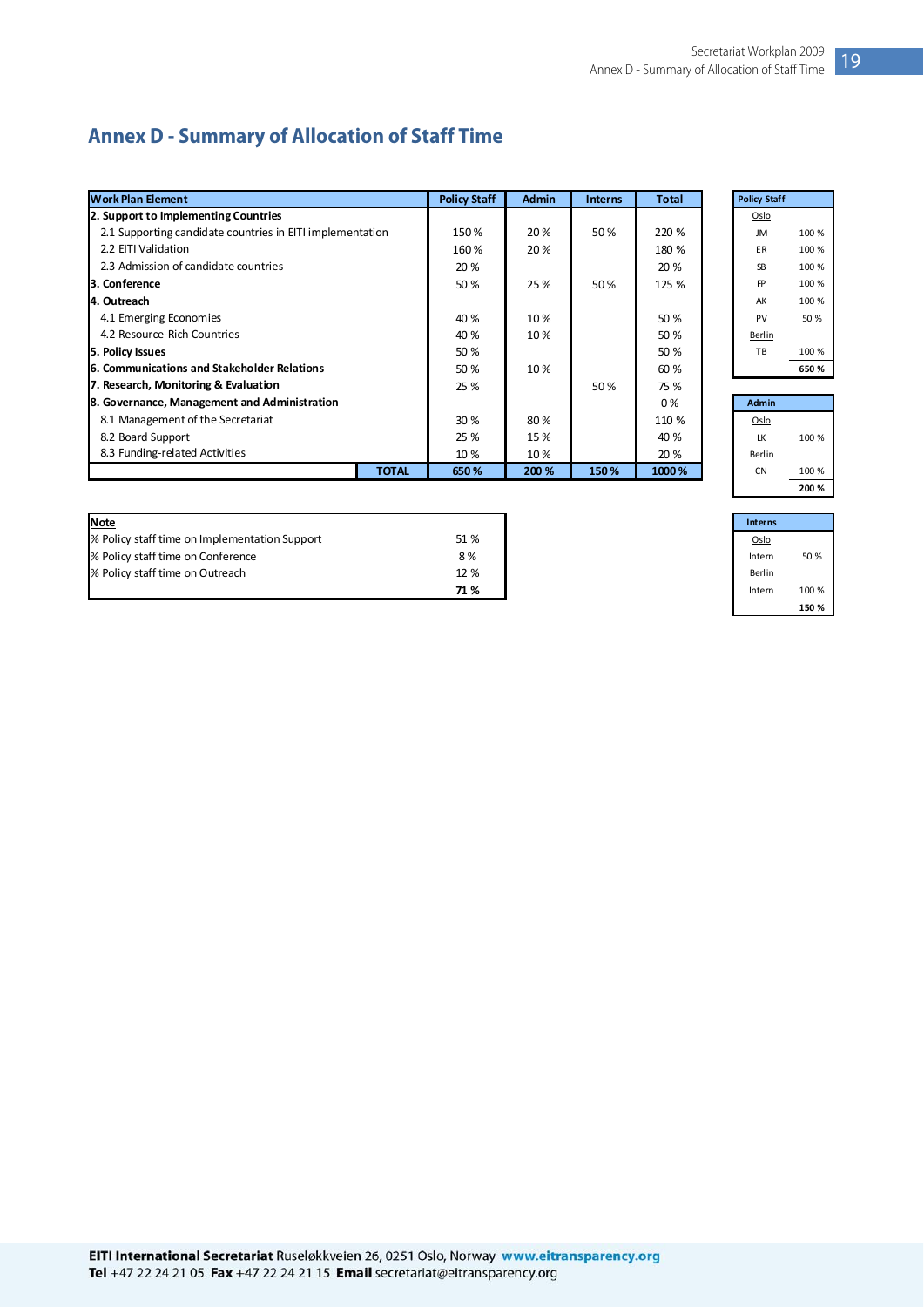## <span id="page-19-0"></span>**Annex D - Summary of Allocation of Staff Time**

| <b>Work Plan Element</b>                                  |              | <b>Policy Staff</b> | <b>Admin</b> | <b>Interns</b> | <b>Total</b> | <b>Policy Staff</b> |       |
|-----------------------------------------------------------|--------------|---------------------|--------------|----------------|--------------|---------------------|-------|
| 2. Support to Implementing Countries                      |              |                     |              |                |              | Oslo                |       |
| 2.1 Supporting candidate countries in EITI implementation |              | 150%                | 20%          | 50%            | 220 %        | <b>JM</b>           | 100 % |
| 2.2 EITI Validation                                       |              | 160%                | 20%          |                | 180 %        | ER                  | 100 % |
| 2.3 Admission of candidate countries                      |              | 20 %                |              |                | 20 %         | <b>SB</b>           | 100 % |
| <b>3. Conference</b>                                      |              | 50 %                | 25%          | 50%            | 125 %        | <b>FP</b>           | 100 % |
| 4. Outreach                                               |              |                     |              |                |              | AK                  | 100 % |
| 4.1 Emerging Economies                                    |              | 40 %                | 10%          |                | 50 %         | PV                  | 50 %  |
| 4.2 Resource-Rich Countries                               |              | 40 %                | 10%          |                | 50 %         | Berlin              |       |
| 5. Policy Issues                                          |              | 50 %                |              |                | 50 %         | TB                  | 100 % |
| <b>6. Communications and Stakeholder Relations</b>        |              | 50 %                | 10%          |                | 60 %         |                     | 650 % |
| 7. Research, Monitoring & Evaluation                      |              | 25 %                |              | 50%            | 75 %         |                     |       |
| 8. Governance, Management and Administration              |              |                     |              |                | 0%           | <b>Admin</b>        |       |
| 8.1 Management of the Secretariat                         |              | 30 %                | 80%          |                | 110 %        | Oslo                |       |
| 8.2 Board Support                                         |              | 25 %                | 15 %         |                | 40 %         | LK                  | 100 % |
| 8.3 Funding-related Activities                            |              | 10 %                | 10%          |                | 20 %         | Berlin              |       |
|                                                           | <b>TOTAL</b> | 650 %               | 200 %        | 150%           | 1000 %       | <b>CN</b>           | 100 % |

| <b>Note</b>                                   |      | Interns |
|-----------------------------------------------|------|---------|
| % Policy staff time on Implementation Support | 51 % | Oslo    |
| % Policy staff time on Conference             | 8%   | Intern  |
| % Policy staff time on Outreach               | 12 % | Berlin  |
|                                               | 71 % | Interr  |

| <b>Policy Staff</b> |       |
|---------------------|-------|
| Oslo                |       |
| JM                  | 100 % |
| FΒ                  | 100 % |
| SB                  | 100 % |
| FP                  | 100 % |
| AK                  | 100 % |
| PV                  | 50 %  |
| Berlin              |       |
| TB                  | 100 % |
|                     | 650%  |
|                     |       |
| .                   |       |

| Admin  |       |
|--------|-------|
| Oslo   |       |
| LK     | 100 % |
| Berlin |       |
| CΝ     | 100 % |
|        | 200 % |

|      | <b>Interns</b> |       |
|------|----------------|-------|
| 51 % | Oslo           |       |
| 8%   | Intern         | 50 %  |
| 12 % | Berlin         |       |
| 71 % | Intern         | 100 % |
|      |                | 150 % |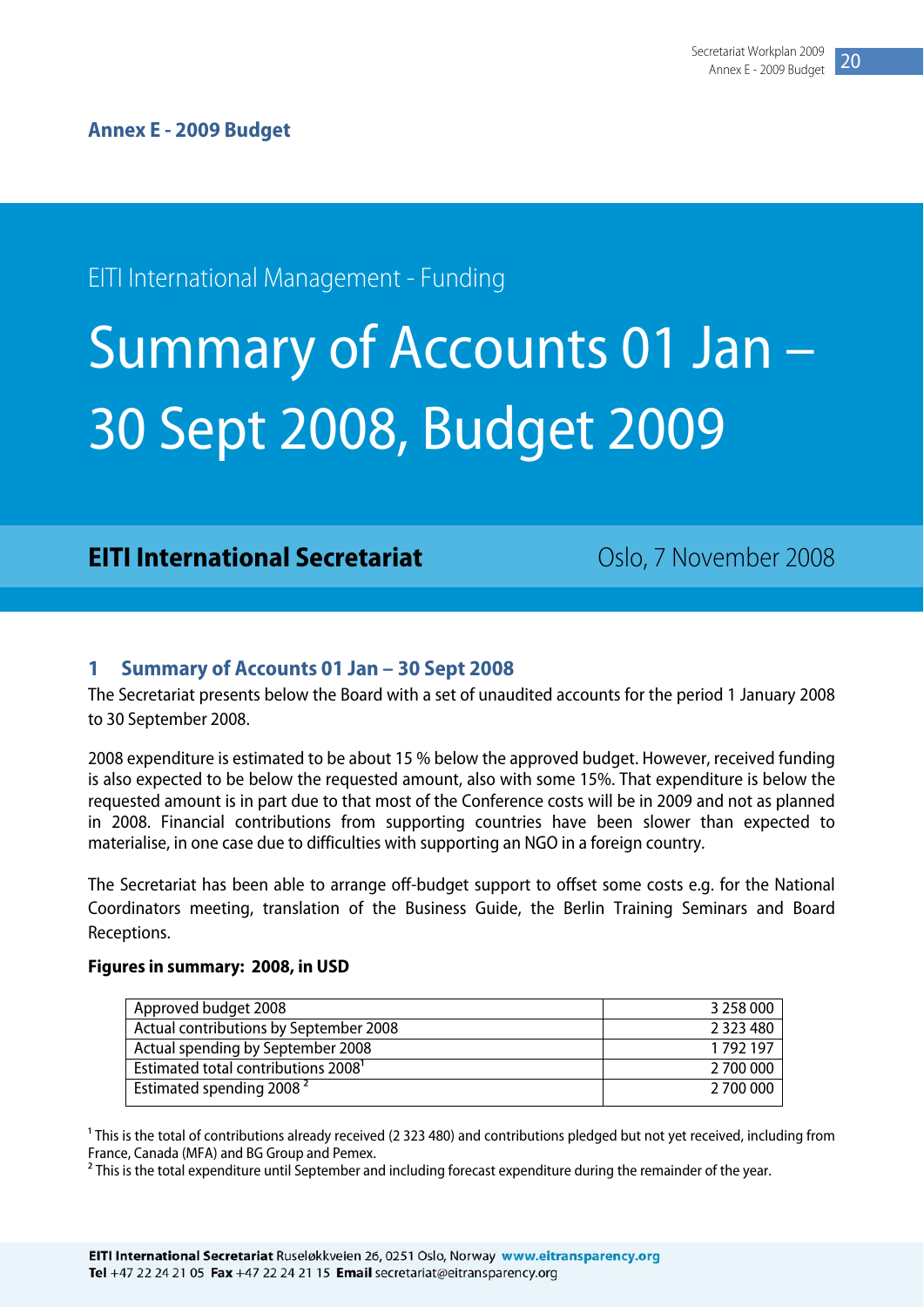## <span id="page-20-0"></span>EITI International Management - Funding

# Summary of Accounts 01 Jan – 30 Sept 2008, Budget 2009

### **EITI International Secretariat** Coslo, 7 November 2008

#### **1 Summary of Accounts 01 Jan – 30 Sept 2008**

The Secretariat presents below the Board with a set of unaudited accounts for the period 1 January 2008 to 30 September 2008.

2008 expenditure is estimated to be about 15 % below the approved budget. However, received funding is also expected to be below the requested amount, also with some 15%. That expenditure is below the requested amount is in part due to that most of the Conference costs will be in 2009 and not as planned in 2008. Financial contributions from supporting countries have been slower than expected to materialise, in one case due to difficulties with supporting an NGO in a foreign country.

The Secretariat has been able to arrange off-budget support to offset some costs e.g. for the National Coordinators meeting, translation of the Business Guide, the Berlin Training Seminars and Board Receptions.

#### **Figures in summary: 2008, in USD**

| Approved budget 2008                            | 3 258 000     |
|-------------------------------------------------|---------------|
| Actual contributions by September 2008          | 2 3 2 3 4 8 0 |
| Actual spending by September 2008               | 1792197       |
| Estimated total contributions 2008 <sup>1</sup> | 2 700 000     |
| Estimated spending 2008 <sup>2</sup>            | 2 700 000     |

<sup>1</sup> This is the total of contributions already received (2 323 480) and contributions pledged but not yet received, including from France, Canada (MFA) and BG Group and Pemex.

<sup>2</sup> This is the total expenditure until September and including forecast expenditure during the remainder of the year.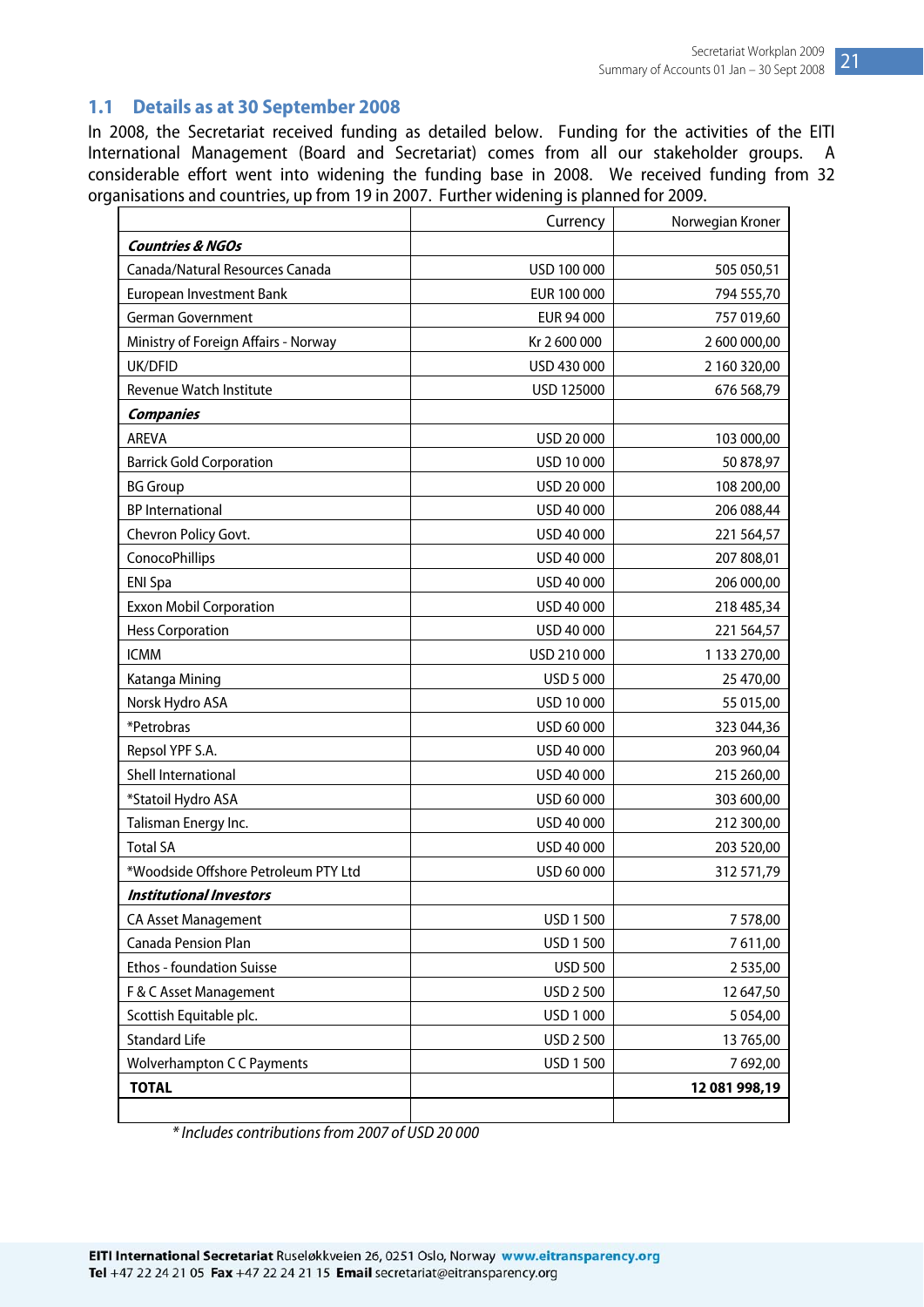### <span id="page-21-0"></span>**1.1 Details as at 30 September 2008**

In 2008, the Secretariat received funding as detailed below. Funding for the activities of the EITI International Management (Board and Secretariat) comes from all our stakeholder groups. A considerable effort went into widening the funding base in 2008. We received funding from 32 organisations and countries, up from 19 in 2007. Further widening is planned for 2009.

|                                      | Currency       | Norwegian Kroner |
|--------------------------------------|----------------|------------------|
| <b>Countries &amp; NGOs</b>          |                |                  |
| Canada/Natural Resources Canada      | USD 100 000    | 505 050,51       |
| European Investment Bank             | EUR 100 000    | 794 555,70       |
| <b>German Government</b>             | EUR 94 000     | 757 019,60       |
| Ministry of Foreign Affairs - Norway | Kr 2 600 000   | 2 600 000,00     |
| UK/DFID                              | USD 430 000    | 2 160 320,00     |
| Revenue Watch Institute              | USD 125000     | 676 568,79       |
| <b>Companies</b>                     |                |                  |
| <b>AREVA</b>                         | USD 20 000     | 103 000,00       |
| <b>Barrick Gold Corporation</b>      | USD 10 000     | 50 878,97        |
| <b>BG Group</b>                      | USD 20 000     | 108 200,00       |
| <b>BP</b> International              | USD 40 000     | 206 088,44       |
| Chevron Policy Govt.                 | USD 40 000     | 221 564,57       |
| <b>ConocoPhillips</b>                | USD 40 000     | 207 808,01       |
| <b>ENI Spa</b>                       | USD 40 000     | 206 000,00       |
| <b>Exxon Mobil Corporation</b>       | USD 40 000     | 218 485,34       |
| <b>Hess Corporation</b>              | USD 40 000     | 221 564,57       |
| <b>ICMM</b>                          | USD 210 000    | 1 133 270,00     |
| Katanga Mining                       | USD 5 000      | 25 470,00        |
| Norsk Hydro ASA                      | USD 10 000     | 55 015,00        |
| *Petrobras                           | USD 60 000     | 323 044,36       |
| Repsol YPF S.A.                      | USD 40 000     | 203 960,04       |
| Shell International                  | USD 40 000     | 215 260,00       |
| *Statoil Hydro ASA                   | USD 60 000     | 303 600,00       |
| Talisman Energy Inc.                 | USD 40 000     | 212 300,00       |
| <b>Total SA</b>                      | USD 40 000     | 203 520,00       |
| *Woodside Offshore Petroleum PTY Ltd | USD 60 000     | 312 571,79       |
| <b>Institutional Investors</b>       |                |                  |
| <b>CA Asset Management</b>           | USD 1 500      | 7 578,00         |
| Canada Pension Plan                  | USD 1 500      | 7611,00          |
| Ethos - foundation Suisse            | <b>USD 500</b> | 2535,00          |
| F & C Asset Management               | USD 2 500      | 12 647,50        |
| Scottish Equitable plc.              | USD 1 000      | 5 0 5 4 ,00      |
| <b>Standard Life</b>                 | USD 2 500      | 13 765,00        |
| <b>Wolverhampton C C Payments</b>    | USD 1 500      | 7692,00          |
| <b>TOTAL</b>                         |                | 12 081 998,19    |
|                                      |                |                  |

\* Includes contributions from 2007 of USD 20 000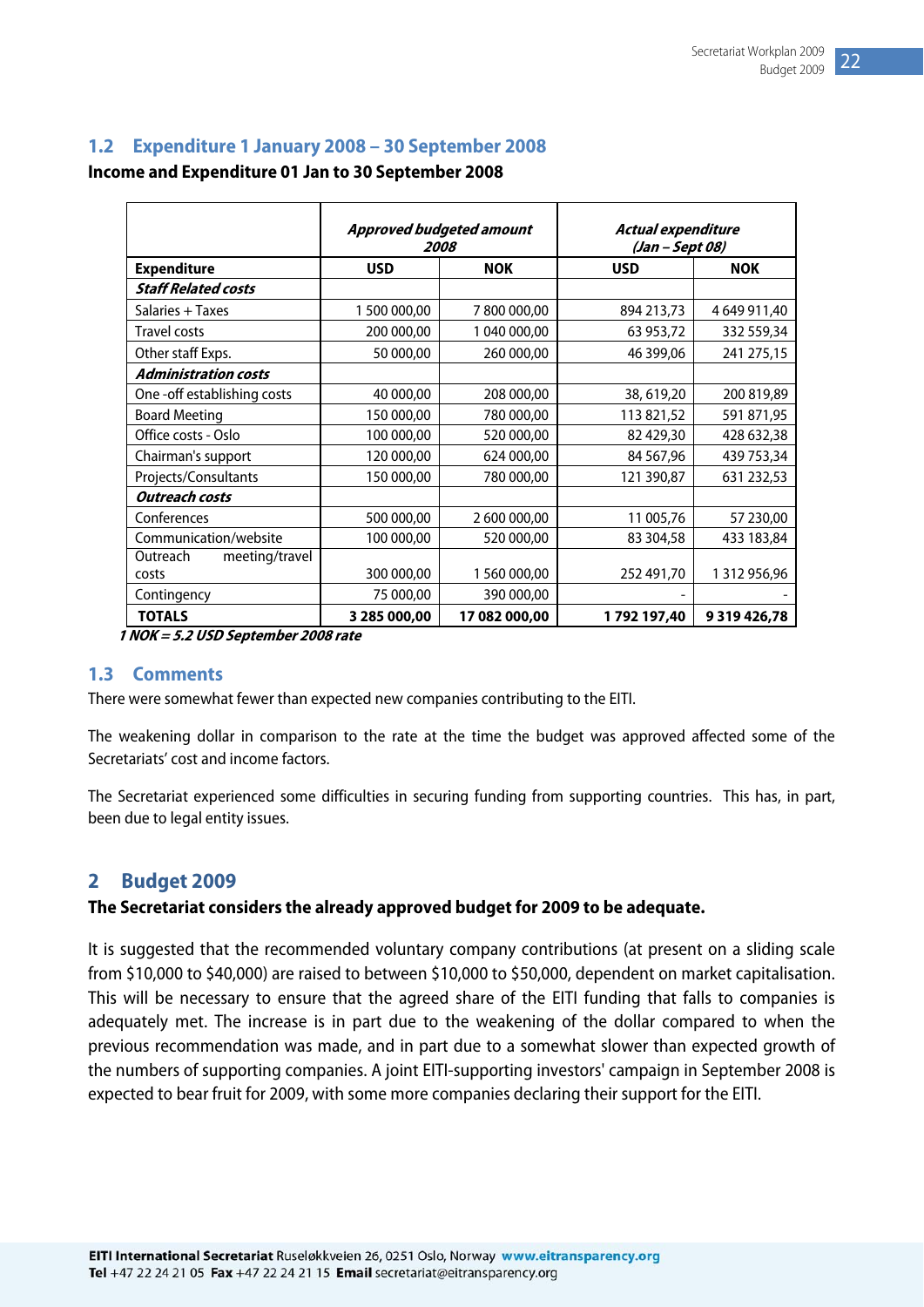#### <span id="page-22-0"></span>**1.2 Expenditure 1 January 2008 – 30 September 2008**

**Income and Expenditure 01 Jan to 30 September 2008** 

|                             | <b>Approved budgeted amount</b><br>2008 |               | Actual expenditure<br>(Jan - Sept 08) |              |
|-----------------------------|-----------------------------------------|---------------|---------------------------------------|--------------|
| <b>Expenditure</b>          | <b>USD</b>                              | <b>NOK</b>    | <b>USD</b>                            | <b>NOK</b>   |
| <b>Staff Related costs</b>  |                                         |               |                                       |              |
| Salaries + Taxes            | 1 500 000,00                            | 7800000,00    | 894 213,73                            | 4 649 911,40 |
| <b>Travel costs</b>         | 200 000,00                              | 1 040 000,00  | 63 953,72                             | 332 559,34   |
| Other staff Exps.           | 50 000,00                               | 260 000,00    | 46 399,06                             | 241 275,15   |
| <b>Administration costs</b> |                                         |               |                                       |              |
| One-off establishing costs  | 40 000,00                               | 208 000,00    | 38, 619, 20                           | 200 819,89   |
| <b>Board Meeting</b>        | 150 000,00                              | 780 000,00    | 113 821,52                            | 591 871,95   |
| Office costs - Oslo         | 100 000,00                              | 520 000,00    | 82 429,30                             | 428 632,38   |
| Chairman's support          | 120 000,00                              | 624 000,00    | 84 567,96                             | 439 753,34   |
| Projects/Consultants        | 150 000,00                              | 780 000,00    | 121 390,87                            | 631 232,53   |
| <b>Outreach costs</b>       |                                         |               |                                       |              |
| Conferences                 | 500 000,00                              | 2 600 000,00  | 11 005,76                             | 57 230,00    |
| Communication/website       | 100 000,00                              | 520 000,00    | 83 304,58                             | 433 183,84   |
| Outreach<br>meeting/travel  |                                         |               |                                       |              |
| costs                       | 300 000,00                              | 1 560 000,00  | 252 491,70                            | 1 312 956,96 |
| Contingency                 | 75 000,00                               | 390 000,00    |                                       |              |
| <b>TOTALS</b>               | 3 285 000,00                            | 17 082 000,00 | 1792197,40                            | 9319426,78   |

 **1 NOK = 5.2 USD September 2008 rate** 

#### **1.3 Comments**

There were somewhat fewer than expected new companies contributing to the EITI.

The weakening dollar in comparison to the rate at the time the budget was approved affected some of the Secretariats' cost and income factors.

The Secretariat experienced some difficulties in securing funding from supporting countries. This has, in part, been due to legal entity issues.

#### **2 Budget 2009**

#### **The Secretariat considers the already approved budget for 2009 to be adequate.**

It is suggested that the recommended voluntary company contributions (at present on a sliding scale from \$10,000 to \$40,000) are raised to between \$10,000 to \$50,000, dependent on market capitalisation. This will be necessary to ensure that the agreed share of the EITI funding that falls to companies is adequately met. The increase is in part due to the weakening of the dollar compared to when the previous recommendation was made, and in part due to a somewhat slower than expected growth of the numbers of supporting companies. A joint EITI-supporting investors' campaign in September 2008 is expected to bear fruit for 2009, with some more companies declaring their support for the EITI.